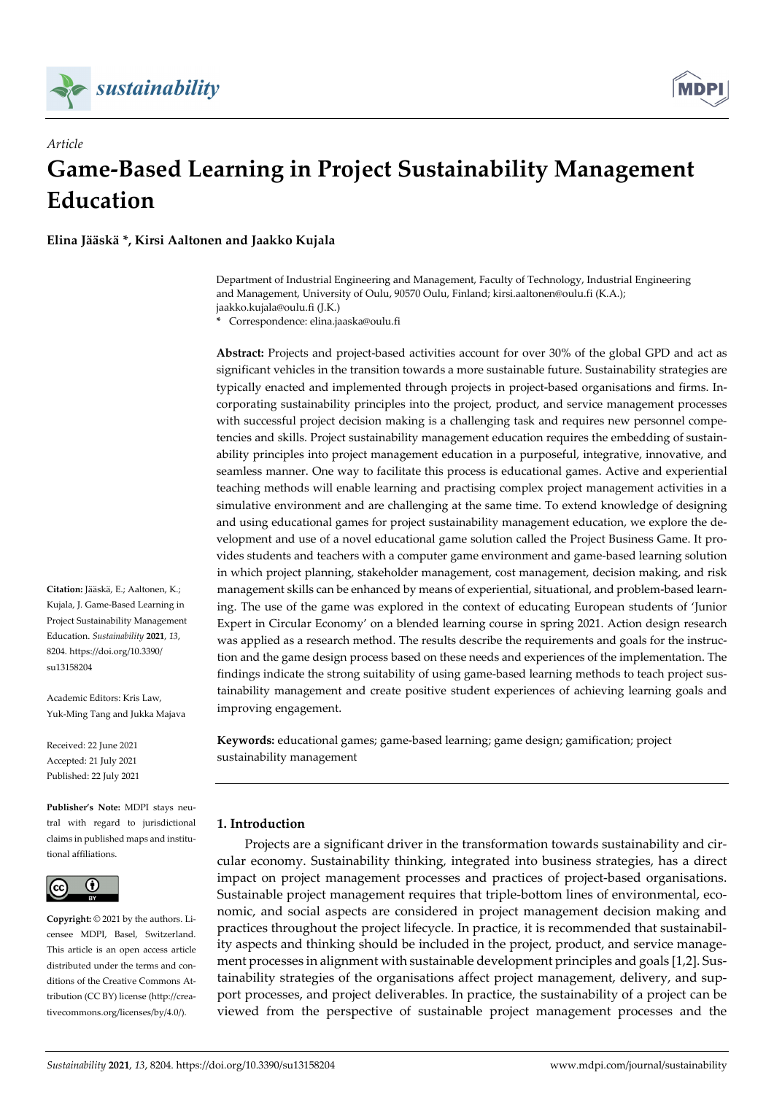



# *Article* **Game-Based Learning in Project Sustainability Management Education**

**Elina Jääskä \*, Kirsi Aaltonen and Jaakko Kujala**

Department of Industrial Engineering and Management, Faculty of Technology, Industrial Engineering and Management, University of Oulu, 90570 Oulu, Finland; kirsi.aaltonen@oulu.fi (K.A.); jaakko.kujala@oulu.fi (J.K.)

**\*** Correspondence: elina.jaaska@oulu.fi

**Abstract:** Projects and project-based activities account for over 30% of the global GPD and act as significant vehicles in the transition towards a more sustainable future. Sustainability strategies are typically enacted and implemented through projects in project-based organisations and firms. Incorporating sustainability principles into the project, product, and service management processes with successful project decision making is a challenging task and requires new personnel competencies and skills. Project sustainability management education requires the embedding of sustainability principles into project management education in a purposeful, integrative, innovative, and seamless manner. One way to facilitate this process is educational games. Active and experiential teaching methods will enable learning and practising complex project management activities in a simulative environment and are challenging at the same time. To extend knowledge of designing and using educational games for project sustainability management education, we explore the development and use of a novel educational game solution called the Project Business Game. It provides students and teachers with a computer game environment and game-based learning solution in which project planning, stakeholder management, cost management, decision making, and risk management skills can be enhanced by means of experiential, situational, and problem-based learning. The use of the game was explored in the context of educating European students of 'Junior Expert in Circular Economy' on a blended learning course in spring 2021. Action design research was applied as a research method. The results describe the requirements and goals for the instruction and the game design process based on these needs and experiences of the implementation. The findings indicate the strong suitability of using game-based learning methods to teach project sustainability management and create positive student experiences of achieving learning goals and improving engagement.

**Keywords:** educational games; game-based learning; game design; gamification; project sustainability management

## **1. Introduction**

Projects are a significant driver in the transformation towards sustainability and circular economy. Sustainability thinking, integrated into business strategies, has a direct impact on project management processes and practices of project-based organisations. Sustainable project management requires that triple-bottom lines of environmental, economic, and social aspects are considered in project management decision making and practices throughout the project lifecycle. In practice, it is recommended that sustainability aspects and thinking should be included in the project, product, and service management processes in alignment with sustainable development principles and goals [1,2]. Sustainability strategies of the organisations affect project management, delivery, and support processes, and project deliverables. In practice, the sustainability of a project can be viewed from the perspective of sustainable project management processes and the

**Citation:** Jääskä, E.; Aaltonen, K.; Kujala, J. Game-Based Learning in Project Sustainability Management Education. *Sustainability* **2021**, *13*, 8204. https://doi.org/10.3390/ su13158204

Academic Editors: Kris Law, Yuk-Ming Tang and Jukka Majava

Received: 22 June 2021 Accepted: 21 July 2021 Published: 22 July 2021

**Publisher's Note:** MDPI stays neutral with regard to jurisdictional claims in published maps and institutional affiliations.



**Copyright:** © 2021 by the authors. Licensee MDPI, Basel, Switzerland. This article is an open access article distributed under the terms and conditions of the Creative Commons Attribution (CC BY) license (http://creativecommons.org/licenses/by/4.0/).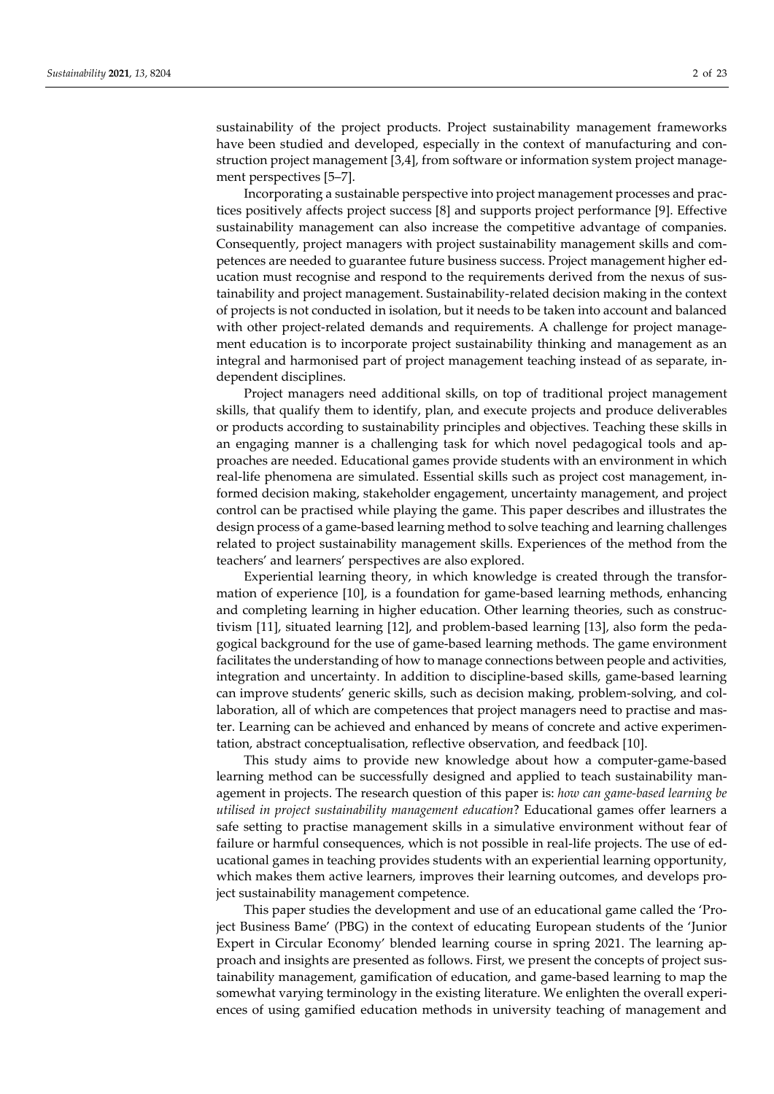sustainability of the project products. Project sustainability management frameworks have been studied and developed, especially in the context of manufacturing and construction project management [3,4], from software or information system project management perspectives [5–7].

Incorporating a sustainable perspective into project management processes and practices positively affects project success [8] and supports project performance [9]. Effective sustainability management can also increase the competitive advantage of companies. Consequently, project managers with project sustainability management skills and competences are needed to guarantee future business success. Project management higher education must recognise and respond to the requirements derived from the nexus of sustainability and project management. Sustainability-related decision making in the context of projects is not conducted in isolation, but it needs to be taken into account and balanced with other project-related demands and requirements. A challenge for project management education is to incorporate project sustainability thinking and management as an integral and harmonised part of project management teaching instead of as separate, independent disciplines.

Project managers need additional skills, on top of traditional project management skills, that qualify them to identify, plan, and execute projects and produce deliverables or products according to sustainability principles and objectives. Teaching these skills in an engaging manner is a challenging task for which novel pedagogical tools and approaches are needed. Educational games provide students with an environment in which real-life phenomena are simulated. Essential skills such as project cost management, informed decision making, stakeholder engagement, uncertainty management, and project control can be practised while playing the game. This paper describes and illustrates the design process of a game-based learning method to solve teaching and learning challenges related to project sustainability management skills. Experiences of the method from the teachers' and learners' perspectives are also explored.

Experiential learning theory, in which knowledge is created through the transformation of experience [10], is a foundation for game-based learning methods, enhancing and completing learning in higher education. Other learning theories, such as constructivism [11], situated learning [12], and problem-based learning [13], also form the pedagogical background for the use of game-based learning methods. The game environment facilitates the understanding of how to manage connections between people and activities, integration and uncertainty. In addition to discipline-based skills, game-based learning can improve students' generic skills, such as decision making, problem-solving, and collaboration, all of which are competences that project managers need to practise and master. Learning can be achieved and enhanced by means of concrete and active experimentation, abstract conceptualisation, reflective observation, and feedback [10].

This study aims to provide new knowledge about how a computer-game-based learning method can be successfully designed and applied to teach sustainability management in projects. The research question of this paper is: *how can game-based learning be utilised in project sustainability management education*? Educational games offer learners a safe setting to practise management skills in a simulative environment without fear of failure or harmful consequences, which is not possible in real-life projects. The use of educational games in teaching provides students with an experiential learning opportunity, which makes them active learners, improves their learning outcomes, and develops project sustainability management competence.

This paper studies the development and use of an educational game called the 'Project Business Bame' (PBG) in the context of educating European students of the 'Junior Expert in Circular Economy' blended learning course in spring 2021. The learning approach and insights are presented as follows. First, we present the concepts of project sustainability management, gamification of education, and game-based learning to map the somewhat varying terminology in the existing literature. We enlighten the overall experiences of using gamified education methods in university teaching of management and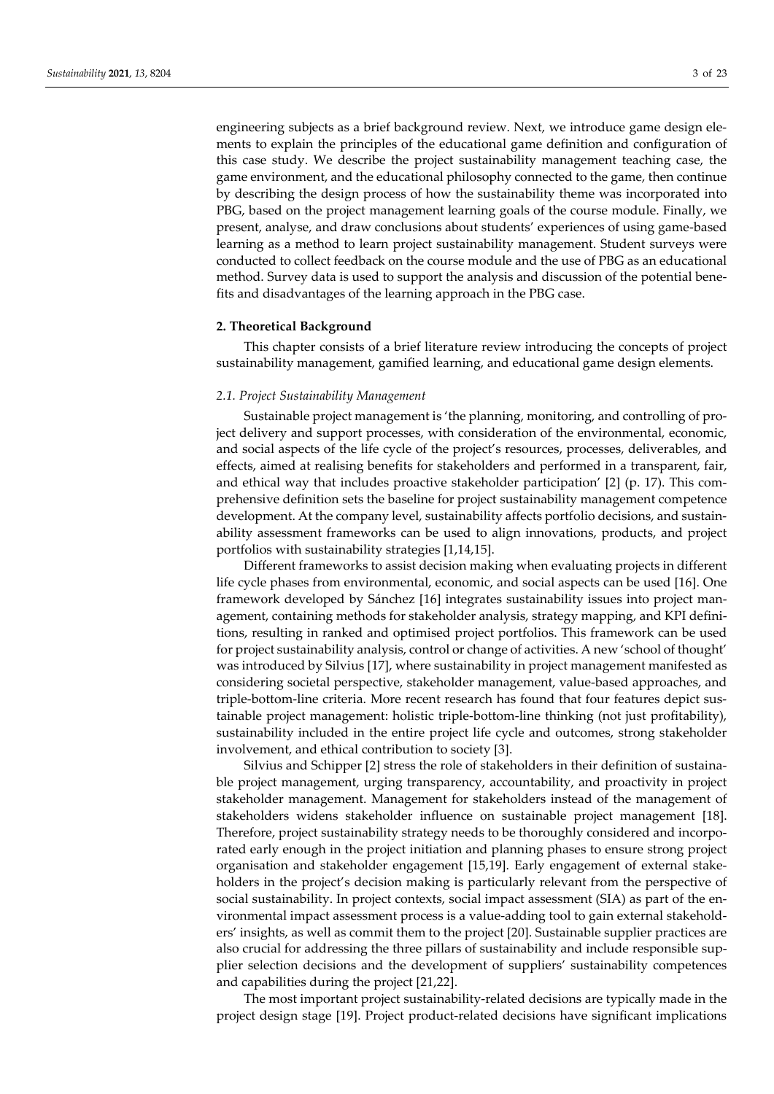engineering subjects as a brief background review. Next, we introduce game design elements to explain the principles of the educational game definition and configuration of this case study. We describe the project sustainability management teaching case, the game environment, and the educational philosophy connected to the game, then continue by describing the design process of how the sustainability theme was incorporated into PBG, based on the project management learning goals of the course module. Finally, we present, analyse, and draw conclusions about students' experiences of using game-based learning as a method to learn project sustainability management. Student surveys were conducted to collect feedback on the course module and the use of PBG as an educational method. Survey data is used to support the analysis and discussion of the potential benefits and disadvantages of the learning approach in the PBG case.

## **2. Theoretical Background**

This chapter consists of a brief literature review introducing the concepts of project sustainability management, gamified learning, and educational game design elements.

# *2.1. Project Sustainability Management*

Sustainable project management is 'the planning, monitoring, and controlling of project delivery and support processes, with consideration of the environmental, economic, and social aspects of the life cycle of the project's resources, processes, deliverables, and effects, aimed at realising benefits for stakeholders and performed in a transparent, fair, and ethical way that includes proactive stakeholder participation' [2] (p. 17). This comprehensive definition sets the baseline for project sustainability management competence development. At the company level, sustainability affects portfolio decisions, and sustainability assessment frameworks can be used to align innovations, products, and project portfolios with sustainability strategies [1,14,15].

Different frameworks to assist decision making when evaluating projects in different life cycle phases from environmental, economic, and social aspects can be used [16]. One framework developed by Sánchez [16] integrates sustainability issues into project management, containing methods for stakeholder analysis, strategy mapping, and KPI definitions, resulting in ranked and optimised project portfolios. This framework can be used for project sustainability analysis, control or change of activities. A new 'school of thought' was introduced by Silvius [17], where sustainability in project management manifested as considering societal perspective, stakeholder management, value-based approaches, and triple-bottom-line criteria. More recent research has found that four features depict sustainable project management: holistic triple-bottom-line thinking (not just profitability), sustainability included in the entire project life cycle and outcomes, strong stakeholder involvement, and ethical contribution to society [3].

Silvius and Schipper [2] stress the role of stakeholders in their definition of sustainable project management, urging transparency, accountability, and proactivity in project stakeholder management. Management for stakeholders instead of the management of stakeholders widens stakeholder influence on sustainable project management [18]. Therefore, project sustainability strategy needs to be thoroughly considered and incorporated early enough in the project initiation and planning phases to ensure strong project organisation and stakeholder engagement [15,19]. Early engagement of external stakeholders in the project's decision making is particularly relevant from the perspective of social sustainability. In project contexts, social impact assessment (SIA) as part of the environmental impact assessment process is a value-adding tool to gain external stakeholders' insights, as well as commit them to the project [20]. Sustainable supplier practices are also crucial for addressing the three pillars of sustainability and include responsible supplier selection decisions and the development of suppliers' sustainability competences and capabilities during the project [21,22].

The most important project sustainability-related decisions are typically made in the project design stage [19]. Project product-related decisions have significant implications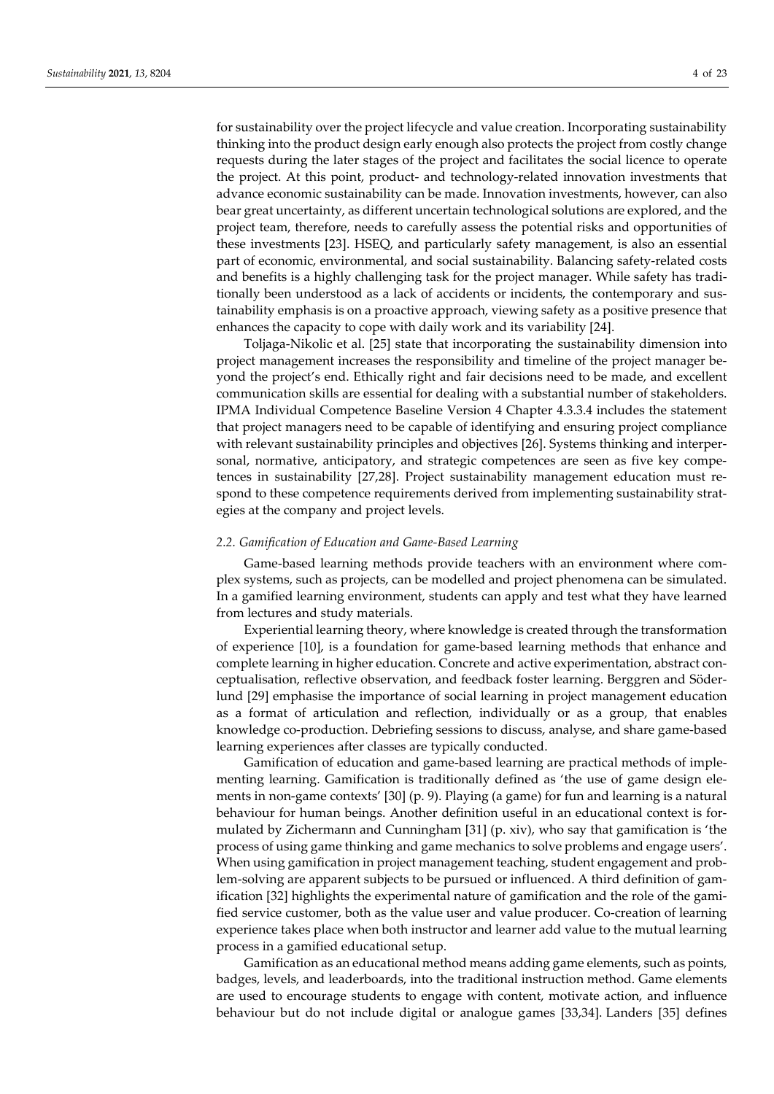for sustainability over the project lifecycle and value creation. Incorporating sustainability thinking into the product design early enough also protects the project from costly change requests during the later stages of the project and facilitates the social licence to operate the project. At this point, product- and technology-related innovation investments that advance economic sustainability can be made. Innovation investments, however, can also bear great uncertainty, as different uncertain technological solutions are explored, and the project team, therefore, needs to carefully assess the potential risks and opportunities of these investments [23]. HSEQ, and particularly safety management, is also an essential part of economic, environmental, and social sustainability. Balancing safety-related costs and benefits is a highly challenging task for the project manager. While safety has traditionally been understood as a lack of accidents or incidents, the contemporary and sustainability emphasis is on a proactive approach, viewing safety as a positive presence that enhances the capacity to cope with daily work and its variability [24].

Toljaga-Nikolic et al. [25] state that incorporating the sustainability dimension into project management increases the responsibility and timeline of the project manager beyond the project's end. Ethically right and fair decisions need to be made, and excellent communication skills are essential for dealing with a substantial number of stakeholders. IPMA Individual Competence Baseline Version 4 Chapter 4.3.3.4 includes the statement that project managers need to be capable of identifying and ensuring project compliance with relevant sustainability principles and objectives [26]. Systems thinking and interpersonal, normative, anticipatory, and strategic competences are seen as five key competences in sustainability [27,28]. Project sustainability management education must respond to these competence requirements derived from implementing sustainability strategies at the company and project levels.

#### *2.2. Gamification of Education and Game-Based Learning*

Game-based learning methods provide teachers with an environment where complex systems, such as projects, can be modelled and project phenomena can be simulated. In a gamified learning environment, students can apply and test what they have learned from lectures and study materials.

Experiential learning theory, where knowledge is created through the transformation of experience [10], is a foundation for game-based learning methods that enhance and complete learning in higher education. Concrete and active experimentation, abstract conceptualisation, reflective observation, and feedback foster learning. Berggren and Söderlund [29] emphasise the importance of social learning in project management education as a format of articulation and reflection, individually or as a group, that enables knowledge co-production. Debriefing sessions to discuss, analyse, and share game-based learning experiences after classes are typically conducted.

Gamification of education and game-based learning are practical methods of implementing learning. Gamification is traditionally defined as 'the use of game design elements in non-game contexts' [30] (p. 9). Playing (a game) for fun and learning is a natural behaviour for human beings. Another definition useful in an educational context is formulated by Zichermann and Cunningham [31] (p. xiv), who say that gamification is 'the process of using game thinking and game mechanics to solve problems and engage users'. When using gamification in project management teaching, student engagement and problem-solving are apparent subjects to be pursued or influenced. A third definition of gamification [32] highlights the experimental nature of gamification and the role of the gamified service customer, both as the value user and value producer. Co-creation of learning experience takes place when both instructor and learner add value to the mutual learning process in a gamified educational setup.

Gamification as an educational method means adding game elements, such as points, badges, levels, and leaderboards, into the traditional instruction method. Game elements are used to encourage students to engage with content, motivate action, and influence behaviour but do not include digital or analogue games [33,34]. Landers [35] defines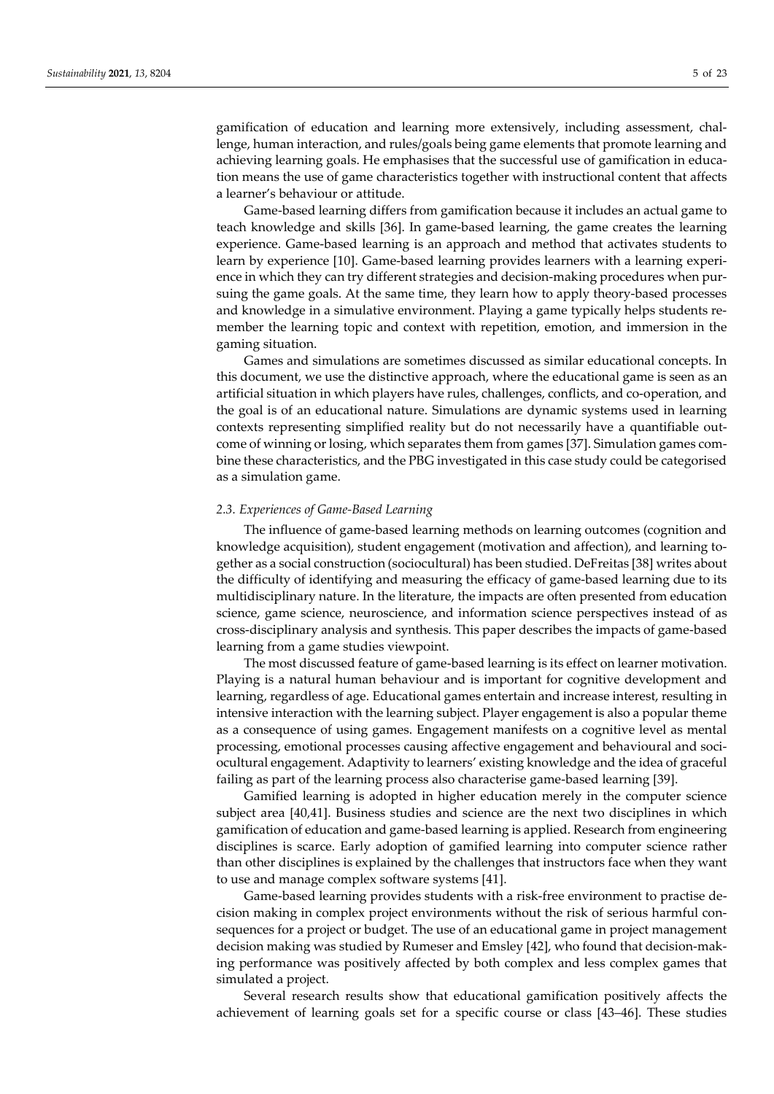gamification of education and learning more extensively, including assessment, challenge, human interaction, and rules/goals being game elements that promote learning and achieving learning goals. He emphasises that the successful use of gamification in education means the use of game characteristics together with instructional content that affects a learner's behaviour or attitude.

Game-based learning differs from gamification because it includes an actual game to teach knowledge and skills [36]. In game-based learning, the game creates the learning experience. Game-based learning is an approach and method that activates students to learn by experience [10]. Game-based learning provides learners with a learning experience in which they can try different strategies and decision-making procedures when pursuing the game goals. At the same time, they learn how to apply theory-based processes and knowledge in a simulative environment. Playing a game typically helps students remember the learning topic and context with repetition, emotion, and immersion in the gaming situation.

Games and simulations are sometimes discussed as similar educational concepts. In this document, we use the distinctive approach, where the educational game is seen as an artificial situation in which players have rules, challenges, conflicts, and co-operation, and the goal is of an educational nature. Simulations are dynamic systems used in learning contexts representing simplified reality but do not necessarily have a quantifiable outcome of winning or losing, which separates them from games [37]. Simulation games combine these characteristics, and the PBG investigated in this case study could be categorised as a simulation game.

#### *2.3. Experiences of Game-Based Learning*

The influence of game-based learning methods on learning outcomes (cognition and knowledge acquisition), student engagement (motivation and affection), and learning together as a social construction (sociocultural) has been studied. DeFreitas [38] writes about the difficulty of identifying and measuring the efficacy of game-based learning due to its multidisciplinary nature. In the literature, the impacts are often presented from education science, game science, neuroscience, and information science perspectives instead of as cross-disciplinary analysis and synthesis. This paper describes the impacts of game-based learning from a game studies viewpoint.

The most discussed feature of game-based learning is its effect on learner motivation. Playing is a natural human behaviour and is important for cognitive development and learning, regardless of age. Educational games entertain and increase interest, resulting in intensive interaction with the learning subject. Player engagement is also a popular theme as a consequence of using games. Engagement manifests on a cognitive level as mental processing, emotional processes causing affective engagement and behavioural and sociocultural engagement. Adaptivity to learners' existing knowledge and the idea of graceful failing as part of the learning process also characterise game-based learning [39].

Gamified learning is adopted in higher education merely in the computer science subject area [40,41]. Business studies and science are the next two disciplines in which gamification of education and game-based learning is applied. Research from engineering disciplines is scarce. Early adoption of gamified learning into computer science rather than other disciplines is explained by the challenges that instructors face when they want to use and manage complex software systems [41].

Game-based learning provides students with a risk-free environment to practise decision making in complex project environments without the risk of serious harmful consequences for a project or budget. The use of an educational game in project management decision making was studied by Rumeser and Emsley [42], who found that decision-making performance was positively affected by both complex and less complex games that simulated a project.

Several research results show that educational gamification positively affects the achievement of learning goals set for a specific course or class [43–46]. These studies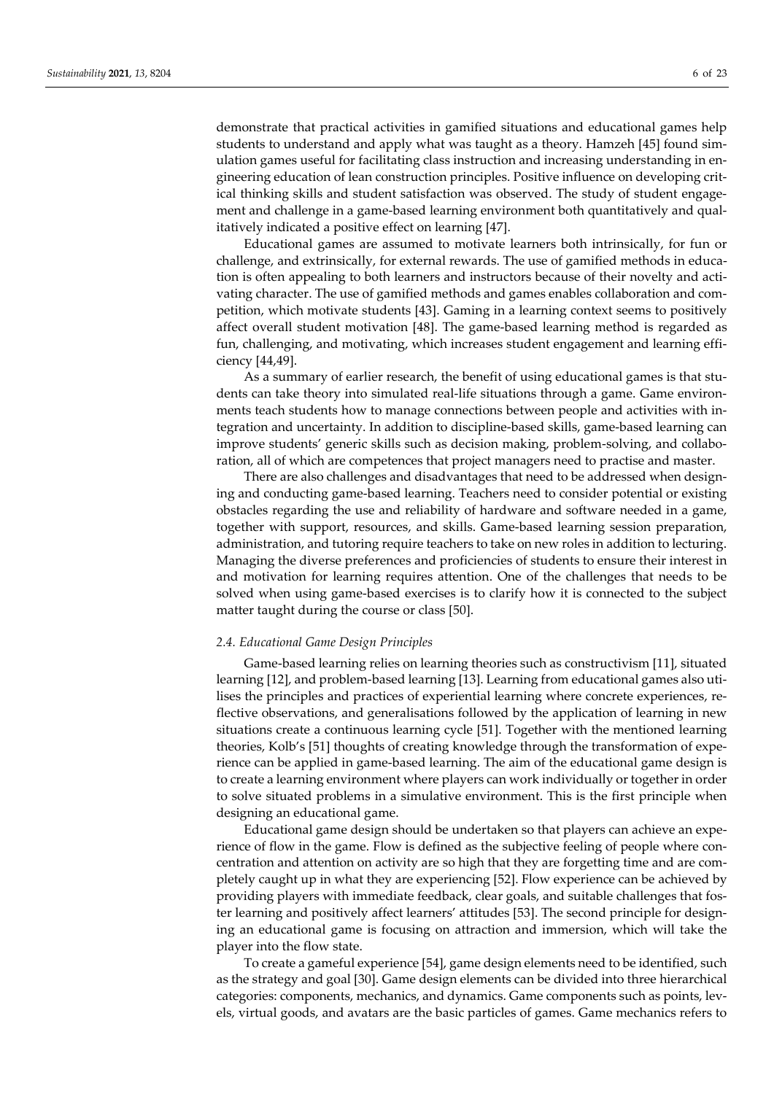demonstrate that practical activities in gamified situations and educational games help students to understand and apply what was taught as a theory. Hamzeh [45] found simulation games useful for facilitating class instruction and increasing understanding in engineering education of lean construction principles. Positive influence on developing critical thinking skills and student satisfaction was observed. The study of student engagement and challenge in a game-based learning environment both quantitatively and qualitatively indicated a positive effect on learning [47].

Educational games are assumed to motivate learners both intrinsically, for fun or challenge, and extrinsically, for external rewards. The use of gamified methods in education is often appealing to both learners and instructors because of their novelty and activating character. The use of gamified methods and games enables collaboration and competition, which motivate students [43]. Gaming in a learning context seems to positively affect overall student motivation [48]. The game-based learning method is regarded as fun, challenging, and motivating, which increases student engagement and learning efficiency [44,49].

As a summary of earlier research, the benefit of using educational games is that students can take theory into simulated real-life situations through a game. Game environments teach students how to manage connections between people and activities with integration and uncertainty. In addition to discipline-based skills, game-based learning can improve students' generic skills such as decision making, problem-solving, and collaboration, all of which are competences that project managers need to practise and master.

There are also challenges and disadvantages that need to be addressed when designing and conducting game-based learning. Teachers need to consider potential or existing obstacles regarding the use and reliability of hardware and software needed in a game, together with support, resources, and skills. Game-based learning session preparation, administration, and tutoring require teachers to take on new roles in addition to lecturing. Managing the diverse preferences and proficiencies of students to ensure their interest in and motivation for learning requires attention. One of the challenges that needs to be solved when using game-based exercises is to clarify how it is connected to the subject matter taught during the course or class [50].

#### *2.4. Educational Game Design Principles*

Game-based learning relies on learning theories such as constructivism [11], situated learning [12], and problem-based learning [13]. Learning from educational games also utilises the principles and practices of experiential learning where concrete experiences, reflective observations, and generalisations followed by the application of learning in new situations create a continuous learning cycle [51]. Together with the mentioned learning theories, Kolb's [51] thoughts of creating knowledge through the transformation of experience can be applied in game-based learning. The aim of the educational game design is to create a learning environment where players can work individually or together in order to solve situated problems in a simulative environment. This is the first principle when designing an educational game.

Educational game design should be undertaken so that players can achieve an experience of flow in the game. Flow is defined as the subjective feeling of people where concentration and attention on activity are so high that they are forgetting time and are completely caught up in what they are experiencing [52]. Flow experience can be achieved by providing players with immediate feedback, clear goals, and suitable challenges that foster learning and positively affect learners' attitudes [53]. The second principle for designing an educational game is focusing on attraction and immersion, which will take the player into the flow state.

To create a gameful experience [54], game design elements need to be identified, such as the strategy and goal [30]. Game design elements can be divided into three hierarchical categories: components, mechanics, and dynamics. Game components such as points, levels, virtual goods, and avatars are the basic particles of games. Game mechanics refers to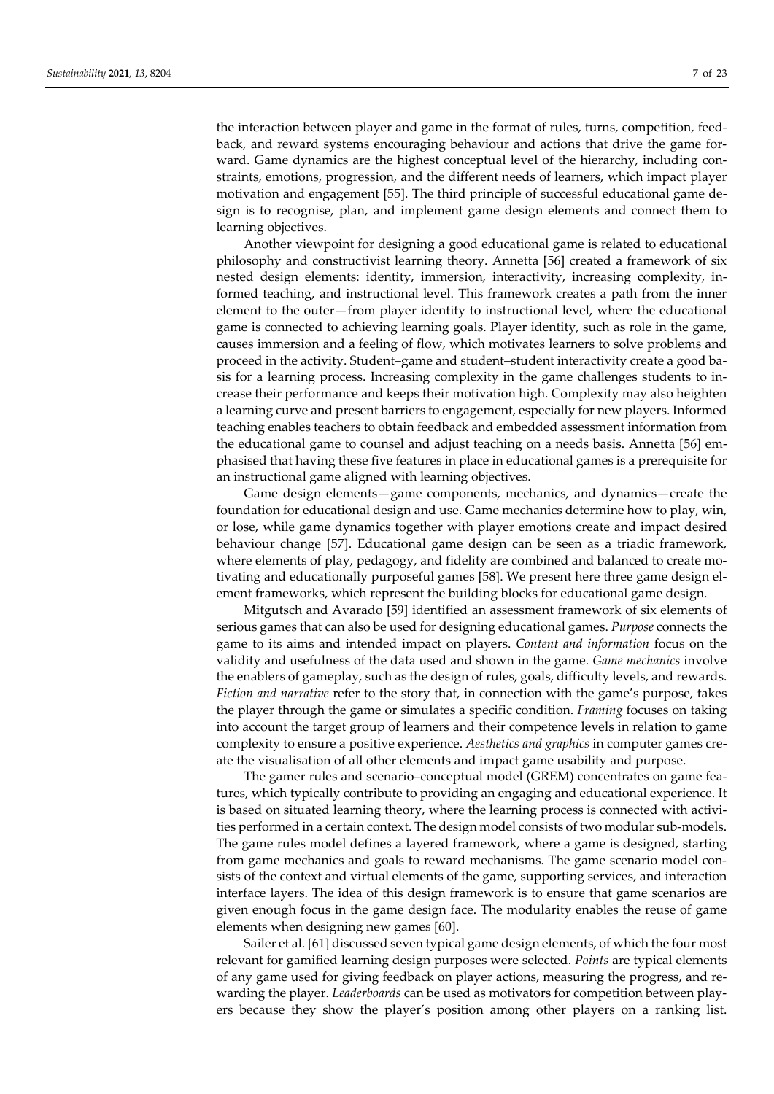the interaction between player and game in the format of rules, turns, competition, feedback, and reward systems encouraging behaviour and actions that drive the game forward. Game dynamics are the highest conceptual level of the hierarchy, including constraints, emotions, progression, and the different needs of learners, which impact player motivation and engagement [55]. The third principle of successful educational game design is to recognise, plan, and implement game design elements and connect them to learning objectives.

Another viewpoint for designing a good educational game is related to educational philosophy and constructivist learning theory. Annetta [56] created a framework of six nested design elements: identity, immersion, interactivity, increasing complexity, informed teaching, and instructional level. This framework creates a path from the inner element to the outer—from player identity to instructional level, where the educational game is connected to achieving learning goals. Player identity, such as role in the game, causes immersion and a feeling of flow, which motivates learners to solve problems and proceed in the activity. Student–game and student–student interactivity create a good basis for a learning process. Increasing complexity in the game challenges students to increase their performance and keeps their motivation high. Complexity may also heighten a learning curve and present barriers to engagement, especially for new players. Informed teaching enables teachers to obtain feedback and embedded assessment information from the educational game to counsel and adjust teaching on a needs basis. Annetta [56] emphasised that having these five features in place in educational games is a prerequisite for an instructional game aligned with learning objectives.

Game design elements—game components, mechanics, and dynamics—create the foundation for educational design and use. Game mechanics determine how to play, win, or lose, while game dynamics together with player emotions create and impact desired behaviour change [57]. Educational game design can be seen as a triadic framework, where elements of play, pedagogy, and fidelity are combined and balanced to create motivating and educationally purposeful games [58]. We present here three game design element frameworks, which represent the building blocks for educational game design.

Mitgutsch and Avarado [59] identified an assessment framework of six elements of serious games that can also be used for designing educational games. *Purpose* connects the game to its aims and intended impact on players. *Content and information* focus on the validity and usefulness of the data used and shown in the game. *Game mechanics* involve the enablers of gameplay, such as the design of rules, goals, difficulty levels, and rewards. *Fiction and narrative* refer to the story that, in connection with the game's purpose, takes the player through the game or simulates a specific condition. *Framing* focuses on taking into account the target group of learners and their competence levels in relation to game complexity to ensure a positive experience. *Aesthetics and graphics* in computer games create the visualisation of all other elements and impact game usability and purpose.

The gamer rules and scenario–conceptual model (GREM) concentrates on game features, which typically contribute to providing an engaging and educational experience. It is based on situated learning theory, where the learning process is connected with activities performed in a certain context. The design model consists of two modular sub-models. The game rules model defines a layered framework, where a game is designed, starting from game mechanics and goals to reward mechanisms. The game scenario model consists of the context and virtual elements of the game, supporting services, and interaction interface layers. The idea of this design framework is to ensure that game scenarios are given enough focus in the game design face. The modularity enables the reuse of game elements when designing new games [60].

Sailer et al. [61] discussed seven typical game design elements, of which the four most relevant for gamified learning design purposes were selected. *Points* are typical elements of any game used for giving feedback on player actions, measuring the progress, and rewarding the player. *Leaderboards* can be used as motivators for competition between players because they show the player's position among other players on a ranking list.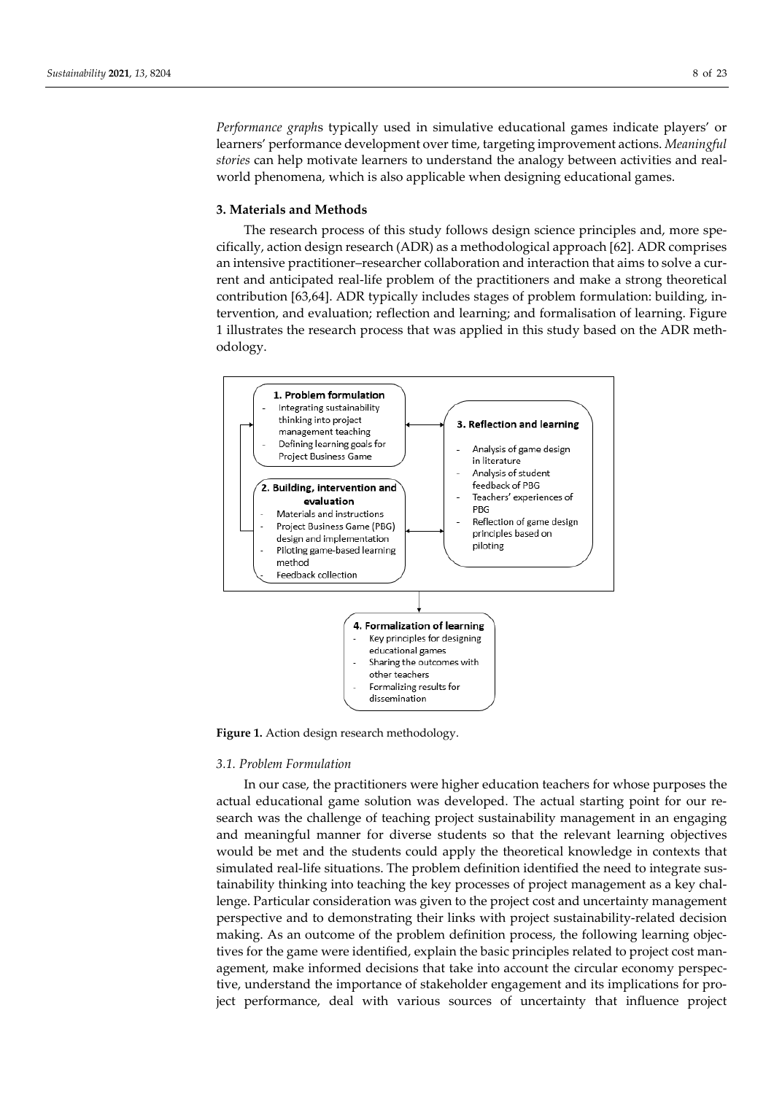*Performance graph*s typically used in simulative educational games indicate players' or learners' performance development over time, targeting improvement actions. *Meaningful stories* can help motivate learners to understand the analogy between activities and realworld phenomena, which is also applicable when designing educational games.

# **3. Materials and Methods**

The research process of this study follows design science principles and, more specifically, action design research (ADR) as a methodological approach [62]. ADR comprises an intensive practitioner–researcher collaboration and interaction that aims to solve a current and anticipated real-life problem of the practitioners and make a strong theoretical contribution [63,64]. ADR typically includes stages of problem formulation: building, intervention, and evaluation; reflection and learning; and formalisation of learning. Figure 1 illustrates the research process that was applied in this study based on the ADR methodology.



**Figure 1.** Action design research methodology.

# *3.1. Problem Formulation*

In our case, the practitioners were higher education teachers for whose purposes the actual educational game solution was developed. The actual starting point for our research was the challenge of teaching project sustainability management in an engaging and meaningful manner for diverse students so that the relevant learning objectives would be met and the students could apply the theoretical knowledge in contexts that simulated real-life situations. The problem definition identified the need to integrate sustainability thinking into teaching the key processes of project management as a key challenge. Particular consideration was given to the project cost and uncertainty management perspective and to demonstrating their links with project sustainability-related decision making. As an outcome of the problem definition process, the following learning objectives for the game were identified, explain the basic principles related to project cost management, make informed decisions that take into account the circular economy perspective, understand the importance of stakeholder engagement and its implications for project performance, deal with various sources of uncertainty that influence project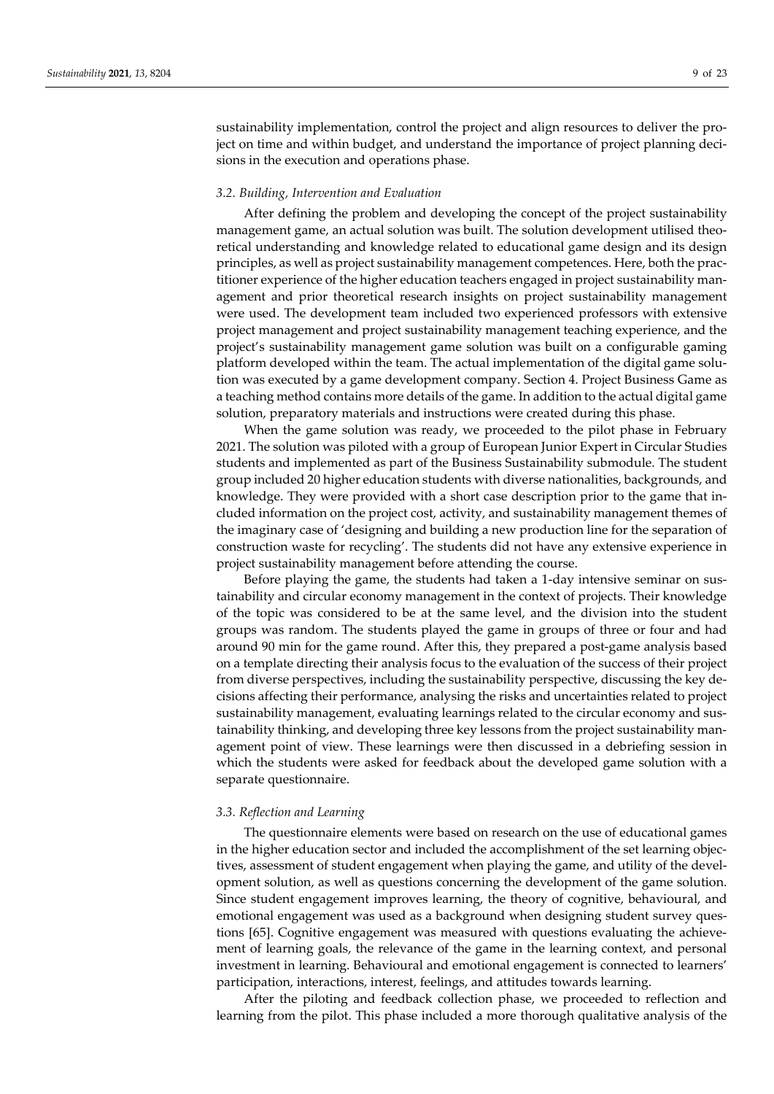sustainability implementation, control the project and align resources to deliver the project on time and within budget, and understand the importance of project planning decisions in the execution and operations phase.

## *3.2. Building, Intervention and Evaluation*

After defining the problem and developing the concept of the project sustainability management game, an actual solution was built. The solution development utilised theoretical understanding and knowledge related to educational game design and its design principles, as well as project sustainability management competences. Here, both the practitioner experience of the higher education teachers engaged in project sustainability management and prior theoretical research insights on project sustainability management were used. The development team included two experienced professors with extensive project management and project sustainability management teaching experience, and the project's sustainability management game solution was built on a configurable gaming platform developed within the team. The actual implementation of the digital game solution was executed by a game development company. Section 4. Project Business Game as a teaching method contains more details of the game. In addition to the actual digital game solution, preparatory materials and instructions were created during this phase.

When the game solution was ready, we proceeded to the pilot phase in February 2021. The solution was piloted with a group of European Junior Expert in Circular Studies students and implemented as part of the Business Sustainability submodule. The student group included 20 higher education students with diverse nationalities, backgrounds, and knowledge. They were provided with a short case description prior to the game that included information on the project cost, activity, and sustainability management themes of the imaginary case of 'designing and building a new production line for the separation of construction waste for recycling'. The students did not have any extensive experience in project sustainability management before attending the course.

Before playing the game, the students had taken a 1-day intensive seminar on sustainability and circular economy management in the context of projects. Their knowledge of the topic was considered to be at the same level, and the division into the student groups was random. The students played the game in groups of three or four and had around 90 min for the game round. After this, they prepared a post-game analysis based on a template directing their analysis focus to the evaluation of the success of their project from diverse perspectives, including the sustainability perspective, discussing the key decisions affecting their performance, analysing the risks and uncertainties related to project sustainability management, evaluating learnings related to the circular economy and sustainability thinking, and developing three key lessons from the project sustainability management point of view. These learnings were then discussed in a debriefing session in which the students were asked for feedback about the developed game solution with a separate questionnaire.

#### *3.3. Reflection and Learning*

The questionnaire elements were based on research on the use of educational games in the higher education sector and included the accomplishment of the set learning objectives, assessment of student engagement when playing the game, and utility of the development solution, as well as questions concerning the development of the game solution. Since student engagement improves learning, the theory of cognitive, behavioural, and emotional engagement was used as a background when designing student survey questions [65]. Cognitive engagement was measured with questions evaluating the achievement of learning goals, the relevance of the game in the learning context, and personal investment in learning. Behavioural and emotional engagement is connected to learners' participation, interactions, interest, feelings, and attitudes towards learning.

After the piloting and feedback collection phase, we proceeded to reflection and learning from the pilot. This phase included a more thorough qualitative analysis of the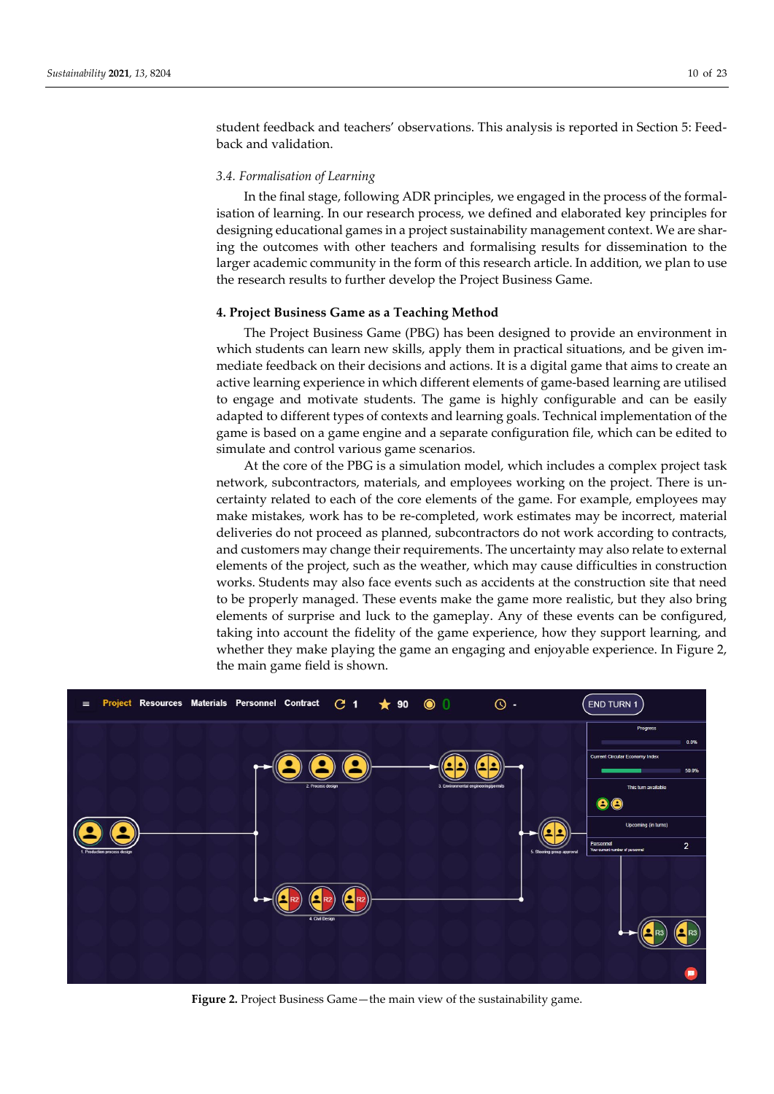student feedback and teachers' observations. This analysis is reported in Section 5: Feedback and validation.

## *3.4. Formalisation of Learning*

In the final stage, following ADR principles, we engaged in the process of the formalisation of learning. In our research process, we defined and elaborated key principles for designing educational games in a project sustainability management context. We are sharing the outcomes with other teachers and formalising results for dissemination to the larger academic community in the form of this research article. In addition, we plan to use the research results to further develop the Project Business Game.

#### **4. Project Business Game as a Teaching Method**

The Project Business Game (PBG) has been designed to provide an environment in which students can learn new skills, apply them in practical situations, and be given immediate feedback on their decisions and actions. It is a digital game that aims to create an active learning experience in which different elements of game-based learning are utilised to engage and motivate students. The game is highly configurable and can be easily adapted to different types of contexts and learning goals. Technical implementation of the game is based on a game engine and a separate configuration file, which can be edited to simulate and control various game scenarios.

At the core of the PBG is a simulation model, which includes a complex project task network, subcontractors, materials, and employees working on the project. There is uncertainty related to each of the core elements of the game. For example, employees may make mistakes, work has to be re-completed, work estimates may be incorrect, material deliveries do not proceed as planned, subcontractors do not work according to contracts, and customers may change their requirements. The uncertainty may also relate to external elements of the project, such as the weather, which may cause difficulties in construction works. Students may also face events such as accidents at the construction site that need to be properly managed. These events make the game more realistic, but they also bring elements of surprise and luck to the gameplay. Any of these events can be configured, taking into account the fidelity of the game experience, how they support learning, and whether they make playing the game an engaging and enjoyable experience. In Figure 2, the main game field is shown.



**Figure 2.** Project Business Game—the main view of the sustainability game.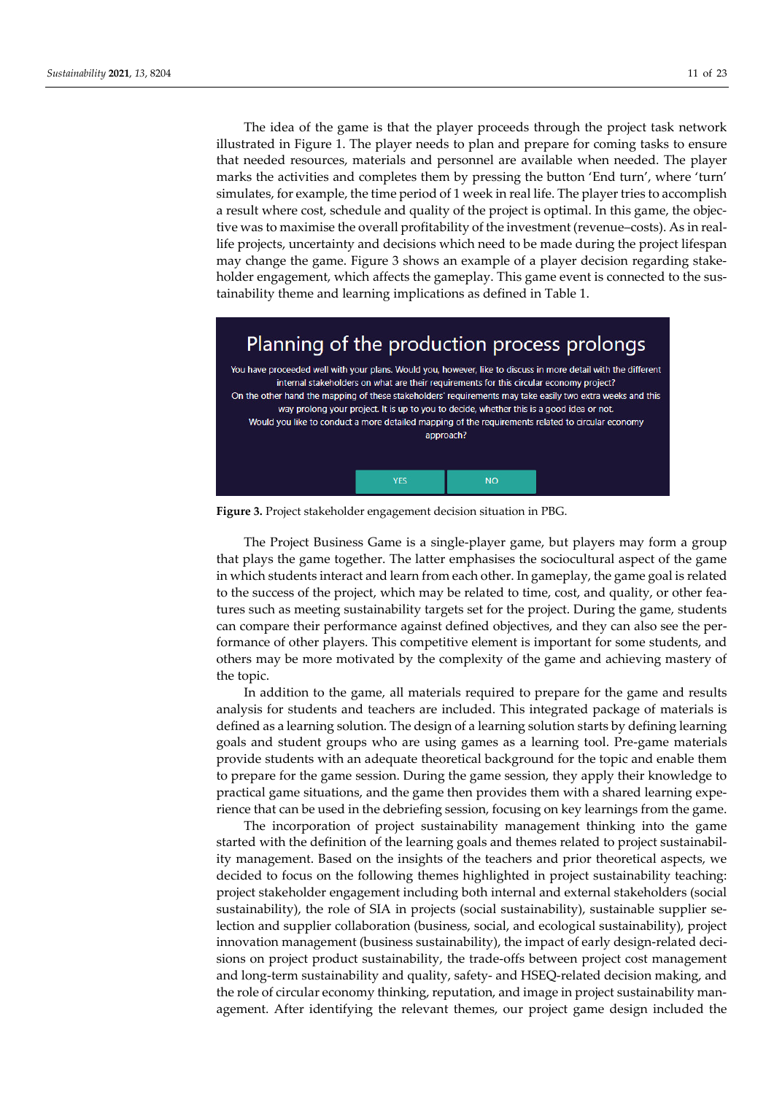The idea of the game is that the player proceeds through the project task network illustrated in Figure 1. The player needs to plan and prepare for coming tasks to ensure that needed resources, materials and personnel are available when needed. The player marks the activities and completes them by pressing the button 'End turn', where 'turn' simulates, for example, the time period of 1 week in real life. The player tries to accomplish a result where cost, schedule and quality of the project is optimal. In this game, the objective was to maximise the overall profitability of the investment (revenue–costs). As in reallife projects, uncertainty and decisions which need to be made during the project lifespan may change the game. Figure 3 shows an example of a player decision regarding stakeholder engagement, which affects the gameplay. This game event is connected to the sustainability theme and learning implications as defined in Table 1.



**Figure 3.** Project stakeholder engagement decision situation in PBG.

The Project Business Game is a single-player game, but players may form a group that plays the game together. The latter emphasises the sociocultural aspect of the game in which students interact and learn from each other. In gameplay, the game goal is related to the success of the project, which may be related to time, cost, and quality, or other features such as meeting sustainability targets set for the project. During the game, students can compare their performance against defined objectives, and they can also see the performance of other players. This competitive element is important for some students, and others may be more motivated by the complexity of the game and achieving mastery of the topic.

In addition to the game, all materials required to prepare for the game and results analysis for students and teachers are included. This integrated package of materials is defined as a learning solution. The design of a learning solution starts by defining learning goals and student groups who are using games as a learning tool. Pre-game materials provide students with an adequate theoretical background for the topic and enable them to prepare for the game session. During the game session, they apply their knowledge to practical game situations, and the game then provides them with a shared learning experience that can be used in the debriefing session, focusing on key learnings from the game.

The incorporation of project sustainability management thinking into the game started with the definition of the learning goals and themes related to project sustainability management. Based on the insights of the teachers and prior theoretical aspects, we decided to focus on the following themes highlighted in project sustainability teaching: project stakeholder engagement including both internal and external stakeholders (social sustainability), the role of SIA in projects (social sustainability), sustainable supplier selection and supplier collaboration (business, social, and ecological sustainability), project innovation management (business sustainability), the impact of early design-related decisions on project product sustainability, the trade-offs between project cost management and long-term sustainability and quality, safety- and HSEQ-related decision making, and the role of circular economy thinking, reputation, and image in project sustainability management. After identifying the relevant themes, our project game design included the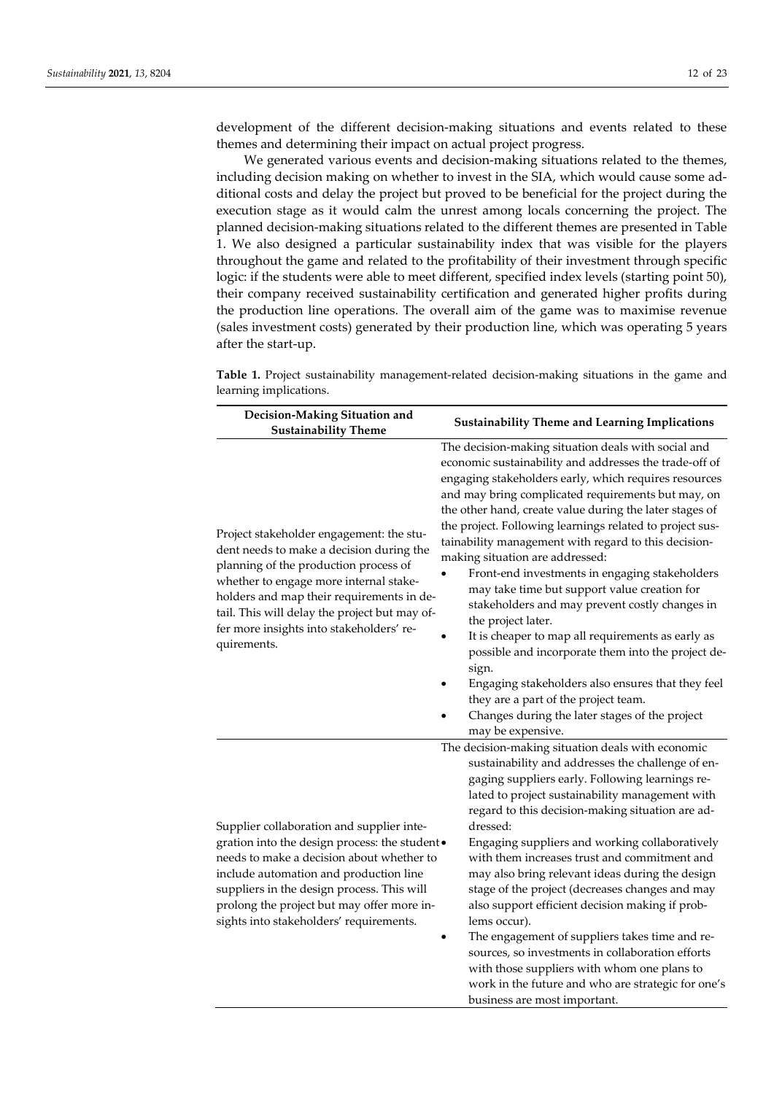development of the different decision-making situations and events related to these themes and determining their impact on actual project progress.

We generated various events and decision-making situations related to the themes, including decision making on whether to invest in the SIA, which would cause some additional costs and delay the project but proved to be beneficial for the project during the execution stage as it would calm the unrest among locals concerning the project. The planned decision-making situations related to the different themes are presented in Table 1. We also designed a particular sustainability index that was visible for the players throughout the game and related to the profitability of their investment through specific logic: if the students were able to meet different, specified index levels (starting point 50), their company received sustainability certification and generated higher profits during the production line operations. The overall aim of the game was to maximise revenue (sales investment costs) generated by their production line, which was operating 5 years after the start-up.

**Table 1.** Project sustainability management-related decision-making situations in the game and learning implications.

| Decision-Making Situation and<br><b>Sustainability Theme</b>                                                                                                                                                                                                                                                                     | <b>Sustainability Theme and Learning Implications</b>                                                                                                                                                                                                                                                                                                                                                                                                                                                                                                                                                                                                                                                                                                                                                                                                                                                            |  |  |  |  |
|----------------------------------------------------------------------------------------------------------------------------------------------------------------------------------------------------------------------------------------------------------------------------------------------------------------------------------|------------------------------------------------------------------------------------------------------------------------------------------------------------------------------------------------------------------------------------------------------------------------------------------------------------------------------------------------------------------------------------------------------------------------------------------------------------------------------------------------------------------------------------------------------------------------------------------------------------------------------------------------------------------------------------------------------------------------------------------------------------------------------------------------------------------------------------------------------------------------------------------------------------------|--|--|--|--|
| Project stakeholder engagement: the stu-<br>dent needs to make a decision during the<br>planning of the production process of<br>whether to engage more internal stake-<br>holders and map their requirements in de-<br>tail. This will delay the project but may of-<br>fer more insights into stakeholders' re-<br>quirements. | The decision-making situation deals with social and<br>economic sustainability and addresses the trade-off of<br>engaging stakeholders early, which requires resources<br>and may bring complicated requirements but may, on<br>the other hand, create value during the later stages of<br>the project. Following learnings related to project sus-<br>tainability management with regard to this decision-<br>making situation are addressed:<br>Front-end investments in engaging stakeholders<br>may take time but support value creation for<br>stakeholders and may prevent costly changes in<br>the project later.<br>It is cheaper to map all requirements as early as<br>possible and incorporate them into the project de-<br>sign.<br>Engaging stakeholders also ensures that they feel<br>they are a part of the project team.<br>Changes during the later stages of the project<br>may be expensive. |  |  |  |  |
| Supplier collaboration and supplier inte-<br>gration into the design process: the student .<br>needs to make a decision about whether to<br>include automation and production line<br>suppliers in the design process. This will<br>prolong the project but may offer more in-<br>sights into stakeholders' requirements.        | The decision-making situation deals with economic<br>sustainability and addresses the challenge of en-<br>gaging suppliers early. Following learnings re-<br>lated to project sustainability management with<br>regard to this decision-making situation are ad-<br>dressed:<br>Engaging suppliers and working collaboratively<br>with them increases trust and commitment and<br>may also bring relevant ideas during the design<br>stage of the project (decreases changes and may<br>also support efficient decision making if prob-<br>lems occur).<br>The engagement of suppliers takes time and re-<br>sources, so investments in collaboration efforts<br>with those suppliers with whom one plans to<br>work in the future and who are strategic for one's<br>business are most important.                                                                                                               |  |  |  |  |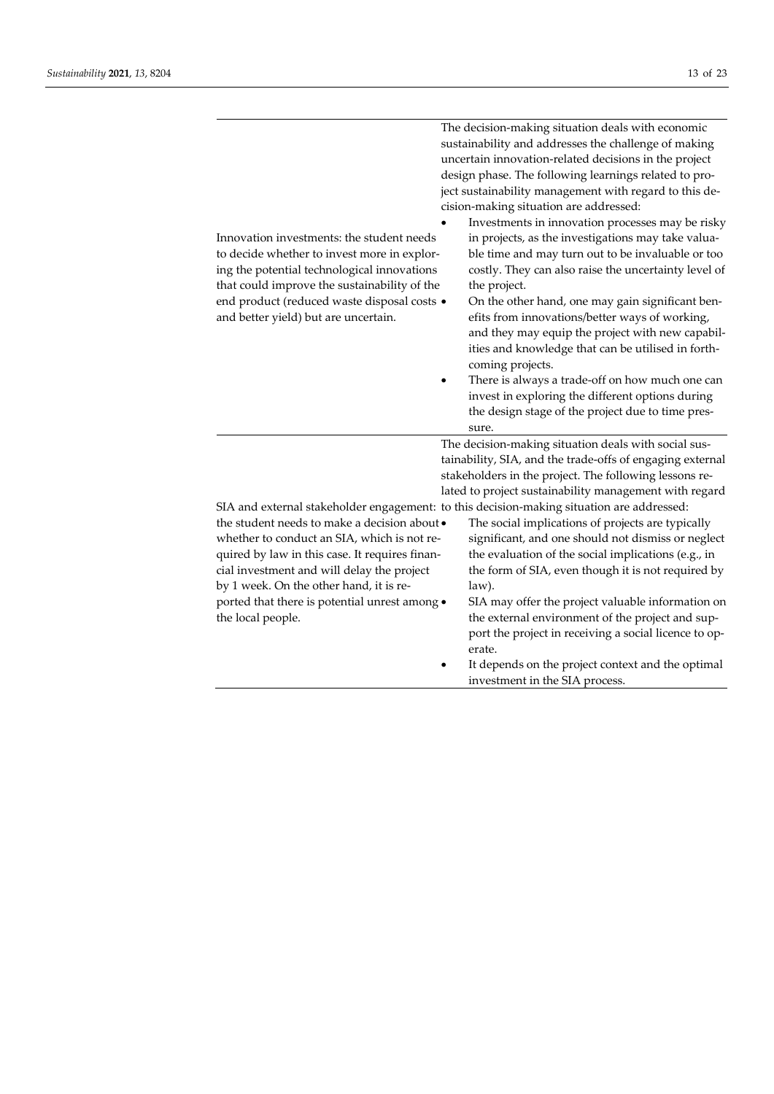| Innovation investments: the student needs<br>to decide whether to invest more in explor-<br>ing the potential technological innovations<br>that could improve the sustainability of the<br>end product (reduced waste disposal costs ·<br>and better yield) but are uncertain.                               | The decision-making situation deals with economic<br>sustainability and addresses the challenge of making<br>uncertain innovation-related decisions in the project<br>design phase. The following learnings related to pro-<br>ject sustainability management with regard to this de-<br>cision-making situation are addressed:<br>Investments in innovation processes may be risky<br>in projects, as the investigations may take valua-<br>ble time and may turn out to be invaluable or too<br>costly. They can also raise the uncertainty level of<br>the project.<br>On the other hand, one may gain significant ben-<br>efits from innovations/better ways of working,<br>and they may equip the project with new capabil- |  |  |  |
|--------------------------------------------------------------------------------------------------------------------------------------------------------------------------------------------------------------------------------------------------------------------------------------------------------------|----------------------------------------------------------------------------------------------------------------------------------------------------------------------------------------------------------------------------------------------------------------------------------------------------------------------------------------------------------------------------------------------------------------------------------------------------------------------------------------------------------------------------------------------------------------------------------------------------------------------------------------------------------------------------------------------------------------------------------|--|--|--|
|                                                                                                                                                                                                                                                                                                              | ities and knowledge that can be utilised in forth-<br>coming projects.<br>There is always a trade-off on how much one can<br>invest in exploring the different options during<br>the design stage of the project due to time pres-<br>sure.                                                                                                                                                                                                                                                                                                                                                                                                                                                                                      |  |  |  |
|                                                                                                                                                                                                                                                                                                              | The decision-making situation deals with social sus-<br>tainability, SIA, and the trade-offs of engaging external<br>stakeholders in the project. The following lessons re-<br>lated to project sustainability management with regard                                                                                                                                                                                                                                                                                                                                                                                                                                                                                            |  |  |  |
| the student needs to make a decision about •<br>whether to conduct an SIA, which is not re-<br>quired by law in this case. It requires finan-<br>cial investment and will delay the project<br>by 1 week. On the other hand, it is re-<br>ported that there is potential unrest among .<br>the local people. | SIA and external stakeholder engagement: to this decision-making situation are addressed:<br>The social implications of projects are typically<br>significant, and one should not dismiss or neglect<br>the evaluation of the social implications (e.g., in<br>the form of SIA, even though it is not required by<br>law).<br>SIA may offer the project valuable information on<br>the external environment of the project and sup-<br>port the project in receiving a social licence to op-<br>erate.<br>It depends on the project context and the optimal<br>investment in the SIA process.                                                                                                                                    |  |  |  |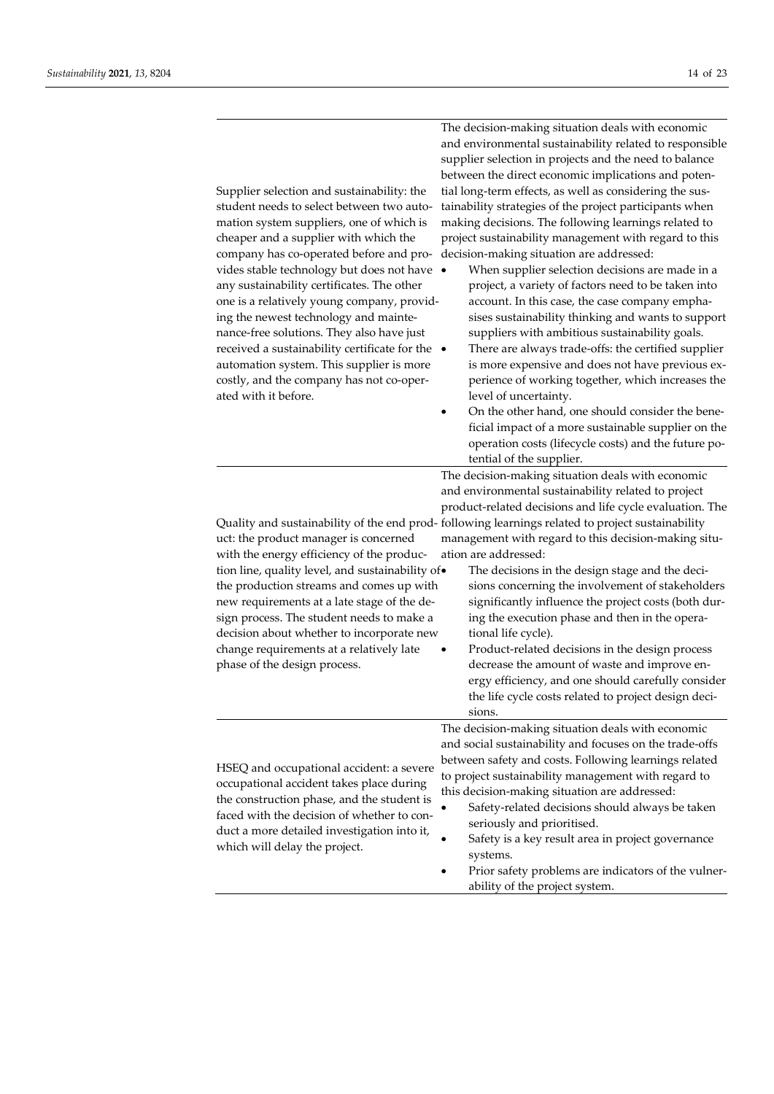The decision-making situation deals with economic

| Supplier selection and sustainability: the<br>student needs to select between two auto-<br>mation system suppliers, one of which is<br>cheaper and a supplier with which the<br>company has co-operated before and pro-<br>vides stable technology but does not have .<br>any sustainability certificates. The other<br>one is a relatively young company, provid-<br>ing the newest technology and mainte-<br>nance-free solutions. They also have just<br>received a sustainability certificate for the $\;\bullet\;$<br>automation system. This supplier is more<br>costly, and the company has not co-oper-<br>ated with it before.<br>uct: the product manager is concerned<br>with the energy efficiency of the produc-<br>tion line, quality level, and sustainability of.<br>the production streams and comes up with<br>new requirements at a late stage of the de-<br>sign process. The student needs to make a<br>decision about whether to incorporate new<br>change requirements at a relatively late<br>phase of the design process. | and environmental sustainability related to responsible<br>supplier selection in projects and the need to balance<br>between the direct economic implications and poten-<br>tial long-term effects, as well as considering the sus-<br>tainability strategies of the project participants when<br>making decisions. The following learnings related to<br>project sustainability management with regard to this<br>decision-making situation are addressed:<br>When supplier selection decisions are made in a<br>project, a variety of factors need to be taken into<br>account. In this case, the case company empha-<br>sises sustainability thinking and wants to support<br>suppliers with ambitious sustainability goals.<br>There are always trade-offs: the certified supplier<br>is more expensive and does not have previous ex-<br>perience of working together, which increases the<br>level of uncertainty.<br>On the other hand, one should consider the bene-<br>٠<br>ficial impact of a more sustainable supplier on the<br>operation costs (lifecycle costs) and the future po-<br>tential of the supplier.<br>The decision-making situation deals with economic<br>and environmental sustainability related to project<br>product-related decisions and life cycle evaluation. The<br>Quality and sustainability of the end prod-following learnings related to project sustainability<br>management with regard to this decision-making situ-<br>ation are addressed:<br>The decisions in the design stage and the deci-<br>sions concerning the involvement of stakeholders<br>significantly influence the project costs (both dur-<br>ing the execution phase and then in the opera-<br>tional life cycle).<br>Product-related decisions in the design process<br>decrease the amount of waste and improve en- |
|----------------------------------------------------------------------------------------------------------------------------------------------------------------------------------------------------------------------------------------------------------------------------------------------------------------------------------------------------------------------------------------------------------------------------------------------------------------------------------------------------------------------------------------------------------------------------------------------------------------------------------------------------------------------------------------------------------------------------------------------------------------------------------------------------------------------------------------------------------------------------------------------------------------------------------------------------------------------------------------------------------------------------------------------------|-------------------------------------------------------------------------------------------------------------------------------------------------------------------------------------------------------------------------------------------------------------------------------------------------------------------------------------------------------------------------------------------------------------------------------------------------------------------------------------------------------------------------------------------------------------------------------------------------------------------------------------------------------------------------------------------------------------------------------------------------------------------------------------------------------------------------------------------------------------------------------------------------------------------------------------------------------------------------------------------------------------------------------------------------------------------------------------------------------------------------------------------------------------------------------------------------------------------------------------------------------------------------------------------------------------------------------------------------------------------------------------------------------------------------------------------------------------------------------------------------------------------------------------------------------------------------------------------------------------------------------------------------------------------------------------------------------------------------------------------------------------------------------------------------------------------------------------|
|                                                                                                                                                                                                                                                                                                                                                                                                                                                                                                                                                                                                                                                                                                                                                                                                                                                                                                                                                                                                                                                    | ergy efficiency, and one should carefully consider<br>the life cycle costs related to project design deci-<br>sions.                                                                                                                                                                                                                                                                                                                                                                                                                                                                                                                                                                                                                                                                                                                                                                                                                                                                                                                                                                                                                                                                                                                                                                                                                                                                                                                                                                                                                                                                                                                                                                                                                                                                                                                |
| HSEQ and occupational accident: a severe<br>occupational accident takes place during<br>the construction phase, and the student is<br>faced with the decision of whether to con-                                                                                                                                                                                                                                                                                                                                                                                                                                                                                                                                                                                                                                                                                                                                                                                                                                                                   | The decision-making situation deals with economic<br>and social sustainability and focuses on the trade-offs<br>between safety and costs. Following learnings related<br>to project sustainability management with regard to<br>this decision-making situation are addressed:                                                                                                                                                                                                                                                                                                                                                                                                                                                                                                                                                                                                                                                                                                                                                                                                                                                                                                                                                                                                                                                                                                                                                                                                                                                                                                                                                                                                                                                                                                                                                       |

which will delay the project.

- Safety is a key result area in project governance systems.
- Prior safety problems are indicators of the vulnerability of the project system.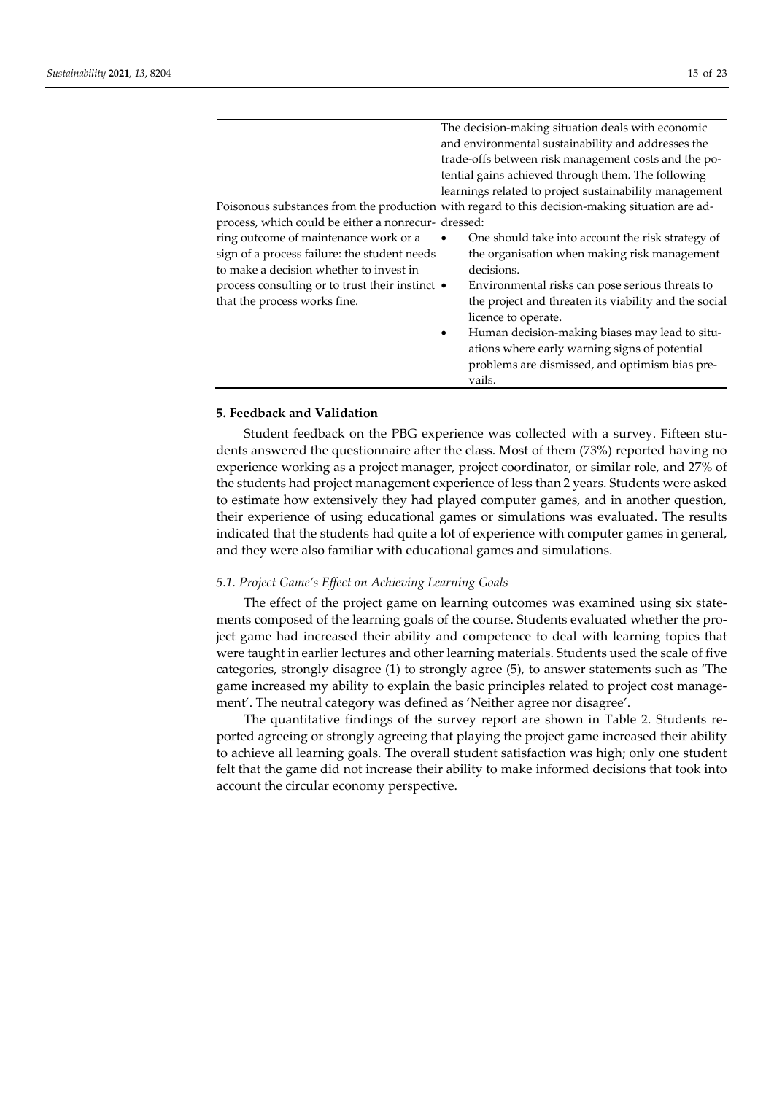|                                                      | The decision-making situation deals with economic                                                      |  |  |  |
|------------------------------------------------------|--------------------------------------------------------------------------------------------------------|--|--|--|
| and environmental sustainability and addresses the   |                                                                                                        |  |  |  |
| trade-offs between risk management costs and the po- |                                                                                                        |  |  |  |
| tential gains achieved through them. The following   |                                                                                                        |  |  |  |
|                                                      | learnings related to project sustainability management                                                 |  |  |  |
|                                                      | Poisonous substances from the production with regard to this decision-making situation are ad-         |  |  |  |
|                                                      |                                                                                                        |  |  |  |
|                                                      | One should take into account the risk strategy of                                                      |  |  |  |
|                                                      | the organisation when making risk management                                                           |  |  |  |
|                                                      | decisions.                                                                                             |  |  |  |
|                                                      | Environmental risks can pose serious threats to                                                        |  |  |  |
|                                                      | the project and threaten its viability and the social                                                  |  |  |  |
|                                                      | licence to operate.                                                                                    |  |  |  |
| $\bullet$                                            | Human decision-making biases may lead to situ-                                                         |  |  |  |
|                                                      | ations where early warning signs of potential                                                          |  |  |  |
|                                                      | problems are dismissed, and optimism bias pre-                                                         |  |  |  |
|                                                      | vails.                                                                                                 |  |  |  |
|                                                      | process, which could be either a nonrecur- dressed:<br>process consulting or to trust their instinct • |  |  |  |

# **5. Feedback and Validation**

Student feedback on the PBG experience was collected with a survey. Fifteen students answered the questionnaire after the class. Most of them (73%) reported having no experience working as a project manager, project coordinator, or similar role, and 27% of the students had project management experience of less than 2 years. Students were asked to estimate how extensively they had played computer games, and in another question, their experience of using educational games or simulations was evaluated. The results indicated that the students had quite a lot of experience with computer games in general, and they were also familiar with educational games and simulations.

#### *5.1. Project Game's Effect on Achieving Learning Goals*

The effect of the project game on learning outcomes was examined using six statements composed of the learning goals of the course. Students evaluated whether the project game had increased their ability and competence to deal with learning topics that were taught in earlier lectures and other learning materials. Students used the scale of five categories, strongly disagree (1) to strongly agree (5), to answer statements such as 'The game increased my ability to explain the basic principles related to project cost management'. The neutral category was defined as 'Neither agree nor disagree'.

The quantitative findings of the survey report are shown in Table 2. Students reported agreeing or strongly agreeing that playing the project game increased their ability to achieve all learning goals. The overall student satisfaction was high; only one student felt that the game did not increase their ability to make informed decisions that took into account the circular economy perspective.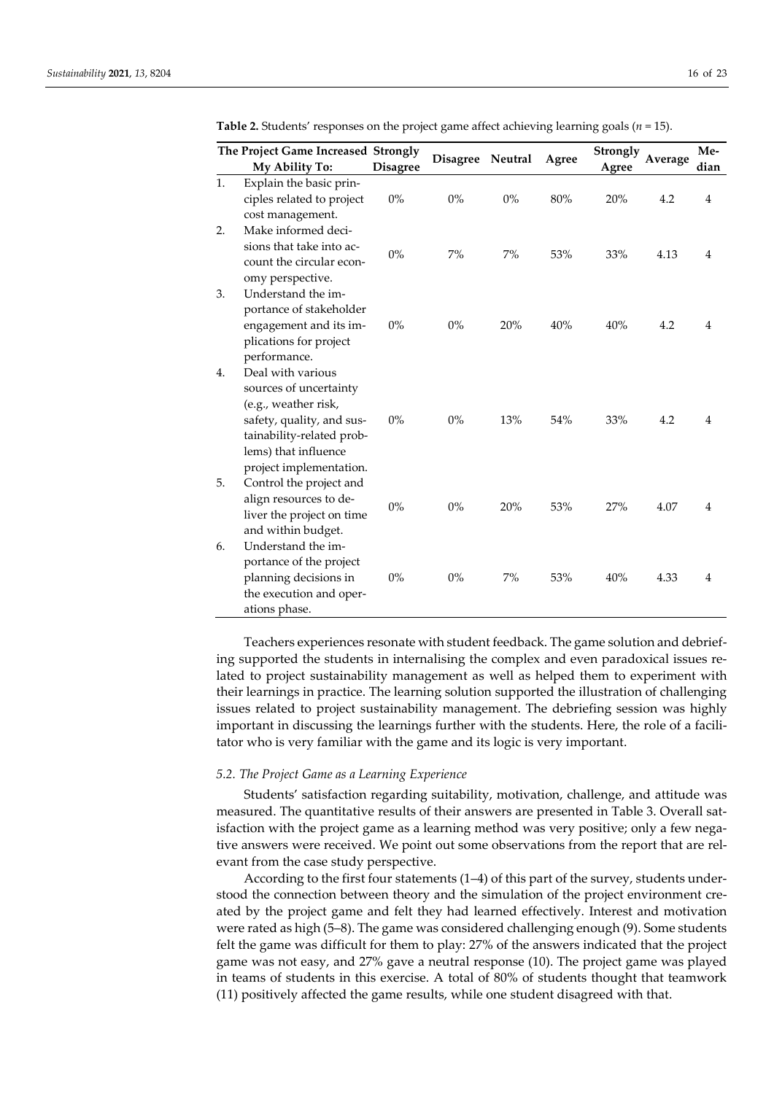| The Project Game Increased Strongly |                                                                                                                                                                                  |                 | <b>Disagree</b> | Neutral |       | Strongly |         | Me-            |
|-------------------------------------|----------------------------------------------------------------------------------------------------------------------------------------------------------------------------------|-----------------|-----------------|---------|-------|----------|---------|----------------|
|                                     | My Ability To:                                                                                                                                                                   | <b>Disagree</b> |                 |         | Agree | Agree    | Average | dian           |
| 1.                                  | Explain the basic prin-<br>ciples related to project<br>cost management.                                                                                                         | $0\%$           | $0\%$           | $0\%$   | 80%   | 20%      | 4.2     | $\overline{4}$ |
| 2.                                  | Make informed deci-<br>sions that take into ac-<br>count the circular econ-<br>omy perspective.                                                                                  | $0\%$           | 7%              | 7%      | 53%   | 33%      | 4.13    | 4              |
| 3.                                  | Understand the im-<br>portance of stakeholder<br>engagement and its im-<br>plications for project<br>performance.                                                                | $0\%$           | $0\%$           | 20%     | 40%   | 40%      | 4.2     | $\overline{4}$ |
| 4.                                  | Deal with various<br>sources of uncertainty<br>(e.g., weather risk,<br>safety, quality, and sus-<br>tainability-related prob-<br>lems) that influence<br>project implementation. | $0\%$           | $0\%$           | 13%     | 54%   | 33%      | 4.2     | 4              |
| 5.                                  | Control the project and<br>align resources to de-<br>liver the project on time<br>and within budget.                                                                             | $0\%$           | $0\%$           | 20%     | 53%   | 27%      | 4.07    | 4              |
| 6.                                  | Understand the im-<br>portance of the project<br>planning decisions in<br>the execution and oper-<br>ations phase.                                                               | $0\%$           | $0\%$           | 7%      | 53%   | 40%      | 4.33    | 4              |

**Table 2.** Students' responses on the project game affect achieving learning goals (*n* = 15).

Teachers experiences resonate with student feedback. The game solution and debriefing supported the students in internalising the complex and even paradoxical issues related to project sustainability management as well as helped them to experiment with their learnings in practice. The learning solution supported the illustration of challenging issues related to project sustainability management. The debriefing session was highly important in discussing the learnings further with the students. Here, the role of a facilitator who is very familiar with the game and its logic is very important.

## *5.2. The Project Game as a Learning Experience*

Students' satisfaction regarding suitability, motivation, challenge, and attitude was measured. The quantitative results of their answers are presented in Table 3. Overall satisfaction with the project game as a learning method was very positive; only a few negative answers were received. We point out some observations from the report that are relevant from the case study perspective.

According to the first four statements (1–4) of this part of the survey, students understood the connection between theory and the simulation of the project environment created by the project game and felt they had learned effectively. Interest and motivation were rated as high (5–8). The game was considered challenging enough (9). Some students felt the game was difficult for them to play: 27% of the answers indicated that the project game was not easy, and 27% gave a neutral response (10). The project game was played in teams of students in this exercise. A total of 80% of students thought that teamwork (11) positively affected the game results, while one student disagreed with that.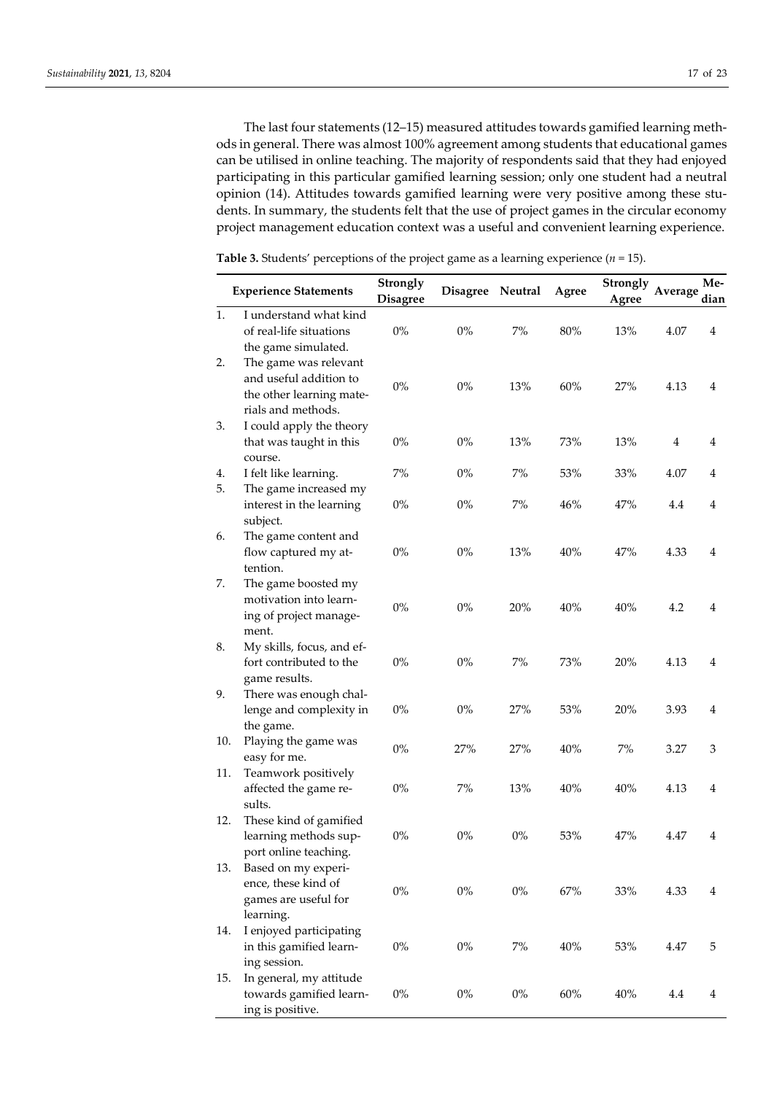The last four statements (12–15) measured attitudes towards gamified learning methods in general. There was almost 100% agreement among students that educational games can be utilised in online teaching. The majority of respondents said that they had enjoyed participating in this particular gamified learning session; only one student had a neutral opinion (14). Attitudes towards gamified learning were very positive among these students. In summary, the students felt that the use of project games in the circular economy project management education context was a useful and convenient learning experience.

|          | <b>Experience Statements</b>                                                                      | Strongly<br><b>Disagree</b> | Disagree Neutral |       | Agree  | Strongly<br>Agree | Average        | Me-<br>dian |
|----------|---------------------------------------------------------------------------------------------------|-----------------------------|------------------|-------|--------|-------------------|----------------|-------------|
| 1.       | I understand what kind<br>of real-life situations<br>the game simulated.                          | $0\%$                       | $0\%$            | 7%    | 80%    | 13%               | 4.07           | 4           |
| 2.       | The game was relevant<br>and useful addition to<br>the other learning mate-<br>rials and methods. | $0\%$                       | $0\%$            | 13%   | 60%    | 27%               | 4.13           | 4           |
| 3.       | I could apply the theory<br>that was taught in this                                               | $0\%$                       | $0\%$            | 13%   | 73%    | 13%               | $\overline{4}$ | 4           |
| 4.<br>5. | course.<br>I felt like learning.<br>The game increased my                                         | $7\%$                       | $0\%$            | 7%    | 53%    | 33%               | 4.07           | 4           |
|          | interest in the learning<br>subject.                                                              | $0\%$                       | $0\%$            | $7\%$ | 46%    | 47%               | 4.4            | 4           |
| 6.       | The game content and<br>flow captured my at-<br>tention.                                          | $0\%$                       | $0\%$            | 13%   | 40%    | 47%               | 4.33           | 4           |
| 7.       | The game boosted my<br>motivation into learn-<br>ing of project manage-<br>ment.                  | $0\%$                       | $0\%$            | 20%   | 40%    | 40%               | 4.2            | 4           |
| 8.       | My skills, focus, and ef-<br>fort contributed to the<br>game results.                             | $0\%$                       | $0\%$            | 7%    | 73%    | 20%               | 4.13           | 4           |
| 9.       | There was enough chal-<br>lenge and complexity in<br>the game.                                    | $0\%$                       | $0\%$            | 27%   | 53%    | 20%               | 3.93           | 4           |
| 10.      | Playing the game was<br>easy for me.                                                              | $0\%$                       | 27%              | 27%   | 40%    | 7%                | 3.27           | 3           |
| 11.      | Teamwork positively<br>affected the game re-<br>sults.                                            | $0\%$                       | 7%               | 13%   | 40%    | 40%               | 4.13           | 4           |
| 12.      | These kind of gamified<br>learning methods sup-<br>port online teaching.                          | $0\%$                       | $0\%$            | $0\%$ | 53%    | 47%               | 4.47           | 4           |
| 13.      | Based on my experi-<br>ence, these kind of<br>games are useful for<br>learning.                   | $0\%$                       | $0\%$            | $0\%$ | 67%    | 33%               | 4.33           | 4           |
| 14.      | I enjoyed participating<br>in this gamified learn-<br>ing session.                                | $0\%$                       | $0\%$            | $7\%$ | 40%    | $53\%$            | 4.47           | 5           |
| 15.      | In general, my attitude<br>towards gamified learn-<br>ing is positive.                            | $0\%$                       | $0\%$            | $0\%$ | $60\%$ | 40%               | 4.4            | 4           |

**Table 3.** Students' perceptions of the project game as a learning experience (*n* = 15).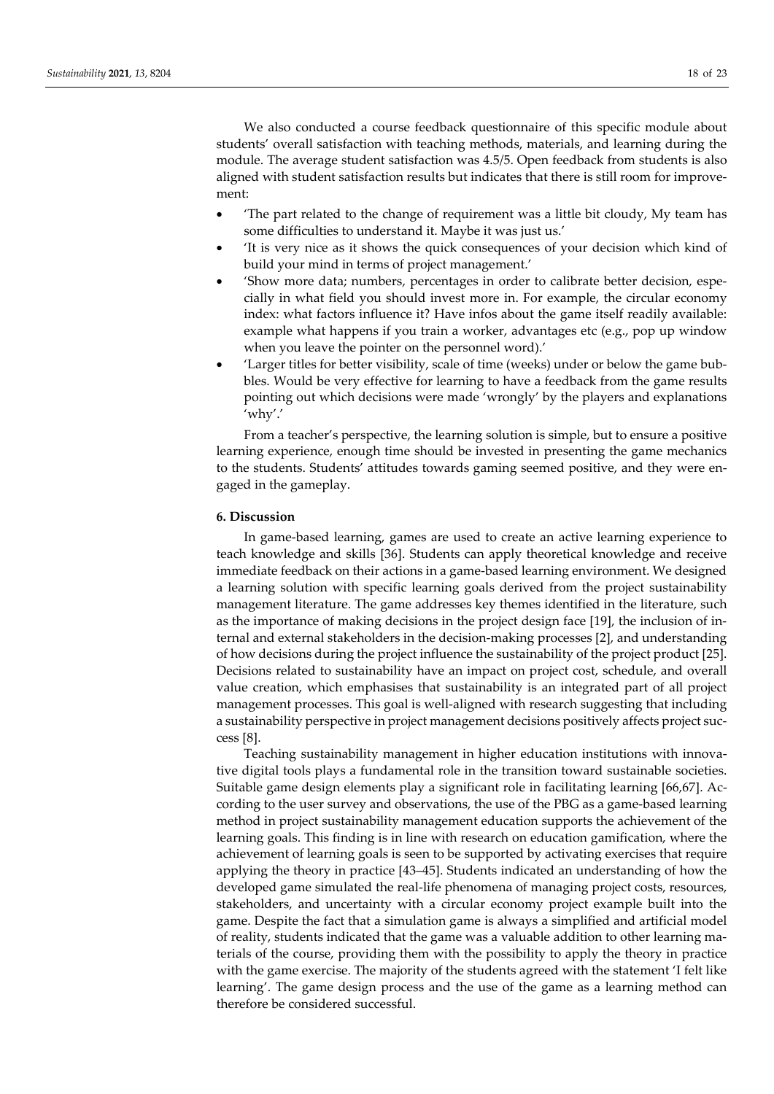We also conducted a course feedback questionnaire of this specific module about students' overall satisfaction with teaching methods, materials, and learning during the module. The average student satisfaction was 4.5/5. Open feedback from students is also aligned with student satisfaction results but indicates that there is still room for improvement:

- 'The part related to the change of requirement was a little bit cloudy, My team has some difficulties to understand it. Maybe it was just us.'
- 'It is very nice as it shows the quick consequences of your decision which kind of build your mind in terms of project management.'
- 'Show more data; numbers, percentages in order to calibrate better decision, especially in what field you should invest more in. For example, the circular economy index: what factors influence it? Have infos about the game itself readily available: example what happens if you train a worker, advantages etc (e.g., pop up window when you leave the pointer on the personnel word).'
- 'Larger titles for better visibility, scale of time (weeks) under or below the game bubbles. Would be very effective for learning to have a feedback from the game results pointing out which decisions were made 'wrongly' by the players and explanations 'why'.'

From a teacher's perspective, the learning solution is simple, but to ensure a positive learning experience, enough time should be invested in presenting the game mechanics to the students. Students' attitudes towards gaming seemed positive, and they were engaged in the gameplay.

# **6. Discussion**

In game-based learning, games are used to create an active learning experience to teach knowledge and skills [36]. Students can apply theoretical knowledge and receive immediate feedback on their actions in a game-based learning environment. We designed a learning solution with specific learning goals derived from the project sustainability management literature. The game addresses key themes identified in the literature, such as the importance of making decisions in the project design face [19], the inclusion of internal and external stakeholders in the decision-making processes [2], and understanding of how decisions during the project influence the sustainability of the project product [25]. Decisions related to sustainability have an impact on project cost, schedule, and overall value creation, which emphasises that sustainability is an integrated part of all project management processes. This goal is well-aligned with research suggesting that including a sustainability perspective in project management decisions positively affects project success [8].

Teaching sustainability management in higher education institutions with innovative digital tools plays a fundamental role in the transition toward sustainable societies. Suitable game design elements play a significant role in facilitating learning [66,67]. According to the user survey and observations, the use of the PBG as a game-based learning method in project sustainability management education supports the achievement of the learning goals. This finding is in line with research on education gamification, where the achievement of learning goals is seen to be supported by activating exercises that require applying the theory in practice [43–45]. Students indicated an understanding of how the developed game simulated the real-life phenomena of managing project costs, resources, stakeholders, and uncertainty with a circular economy project example built into the game. Despite the fact that a simulation game is always a simplified and artificial model of reality, students indicated that the game was a valuable addition to other learning materials of the course, providing them with the possibility to apply the theory in practice with the game exercise. The majority of the students agreed with the statement 'I felt like learning'. The game design process and the use of the game as a learning method can therefore be considered successful.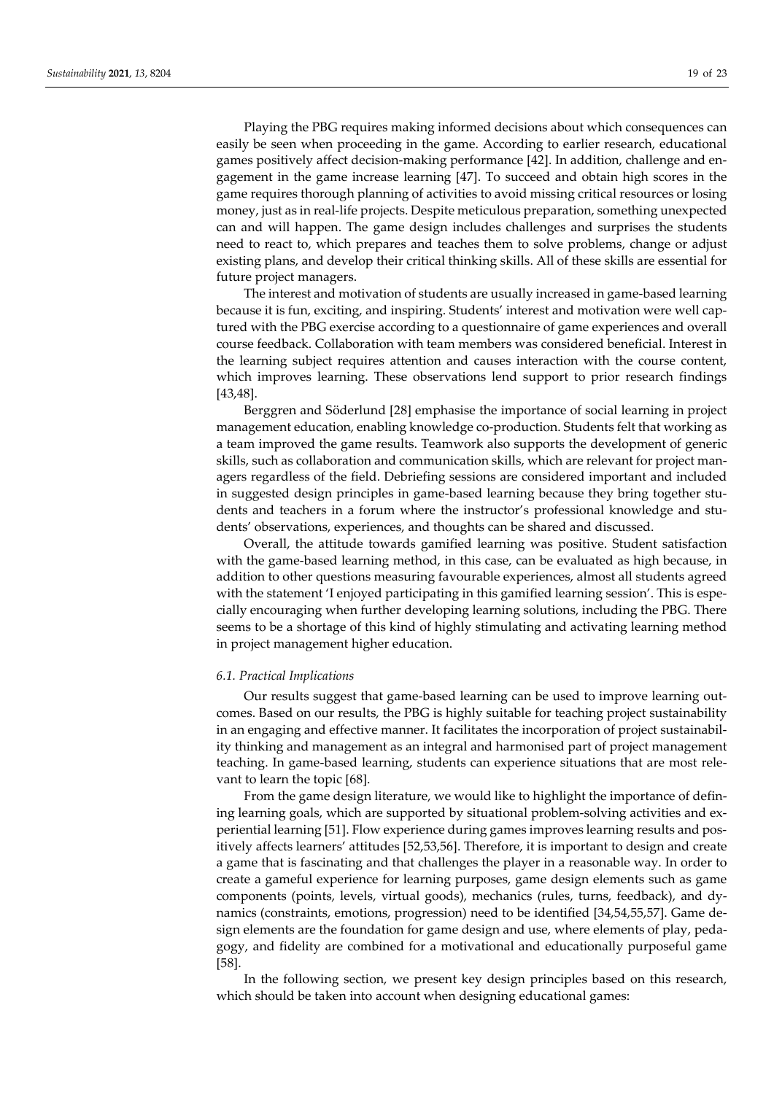Playing the PBG requires making informed decisions about which consequences can easily be seen when proceeding in the game. According to earlier research, educational games positively affect decision-making performance [42]. In addition, challenge and engagement in the game increase learning [47]. To succeed and obtain high scores in the game requires thorough planning of activities to avoid missing critical resources or losing money, just as in real-life projects. Despite meticulous preparation, something unexpected can and will happen. The game design includes challenges and surprises the students need to react to, which prepares and teaches them to solve problems, change or adjust existing plans, and develop their critical thinking skills. All of these skills are essential for future project managers.

The interest and motivation of students are usually increased in game-based learning because it is fun, exciting, and inspiring. Students' interest and motivation were well captured with the PBG exercise according to a questionnaire of game experiences and overall course feedback. Collaboration with team members was considered beneficial. Interest in the learning subject requires attention and causes interaction with the course content, which improves learning. These observations lend support to prior research findings [43,48].

Berggren and Söderlund [28] emphasise the importance of social learning in project management education, enabling knowledge co-production. Students felt that working as a team improved the game results. Teamwork also supports the development of generic skills, such as collaboration and communication skills, which are relevant for project managers regardless of the field. Debriefing sessions are considered important and included in suggested design principles in game-based learning because they bring together students and teachers in a forum where the instructor's professional knowledge and students' observations, experiences, and thoughts can be shared and discussed.

Overall, the attitude towards gamified learning was positive. Student satisfaction with the game-based learning method, in this case, can be evaluated as high because, in addition to other questions measuring favourable experiences, almost all students agreed with the statement 'I enjoyed participating in this gamified learning session'. This is especially encouraging when further developing learning solutions, including the PBG. There seems to be a shortage of this kind of highly stimulating and activating learning method in project management higher education.

## *6.1. Practical Implications*

Our results suggest that game-based learning can be used to improve learning outcomes. Based on our results, the PBG is highly suitable for teaching project sustainability in an engaging and effective manner. It facilitates the incorporation of project sustainability thinking and management as an integral and harmonised part of project management teaching. In game-based learning, students can experience situations that are most relevant to learn the topic [68].

From the game design literature, we would like to highlight the importance of defining learning goals, which are supported by situational problem-solving activities and experiential learning [51]. Flow experience during games improves learning results and positively affects learners' attitudes [52,53,56]. Therefore, it is important to design and create a game that is fascinating and that challenges the player in a reasonable way. In order to create a gameful experience for learning purposes, game design elements such as game components (points, levels, virtual goods), mechanics (rules, turns, feedback), and dynamics (constraints, emotions, progression) need to be identified [34,54,55,57]. Game design elements are the foundation for game design and use, where elements of play, pedagogy, and fidelity are combined for a motivational and educationally purposeful game [58].

In the following section, we present key design principles based on this research, which should be taken into account when designing educational games: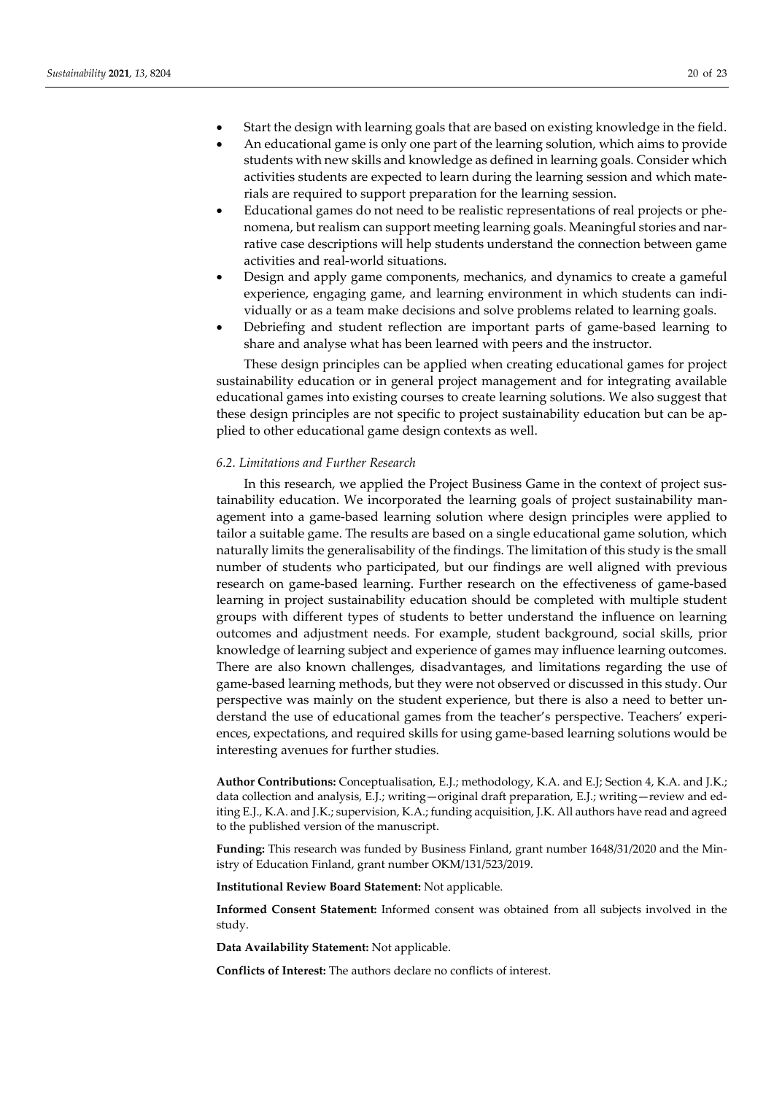- Start the design with learning goals that are based on existing knowledge in the field.
- An educational game is only one part of the learning solution, which aims to provide students with new skills and knowledge as defined in learning goals. Consider which activities students are expected to learn during the learning session and which materials are required to support preparation for the learning session.
- Educational games do not need to be realistic representations of real projects or phenomena, but realism can support meeting learning goals. Meaningful stories and narrative case descriptions will help students understand the connection between game activities and real-world situations.
- Design and apply game components, mechanics, and dynamics to create a gameful experience, engaging game, and learning environment in which students can individually or as a team make decisions and solve problems related to learning goals.
- Debriefing and student reflection are important parts of game-based learning to share and analyse what has been learned with peers and the instructor.

These design principles can be applied when creating educational games for project sustainability education or in general project management and for integrating available educational games into existing courses to create learning solutions. We also suggest that these design principles are not specific to project sustainability education but can be applied to other educational game design contexts as well.

## *6.2. Limitations and Further Research*

In this research, we applied the Project Business Game in the context of project sustainability education. We incorporated the learning goals of project sustainability management into a game-based learning solution where design principles were applied to tailor a suitable game. The results are based on a single educational game solution, which naturally limits the generalisability of the findings. The limitation of this study is the small number of students who participated, but our findings are well aligned with previous research on game-based learning. Further research on the effectiveness of game-based learning in project sustainability education should be completed with multiple student groups with different types of students to better understand the influence on learning outcomes and adjustment needs. For example, student background, social skills, prior knowledge of learning subject and experience of games may influence learning outcomes. There are also known challenges, disadvantages, and limitations regarding the use of game-based learning methods, but they were not observed or discussed in this study. Our perspective was mainly on the student experience, but there is also a need to better understand the use of educational games from the teacher's perspective. Teachers' experiences, expectations, and required skills for using game-based learning solutions would be interesting avenues for further studies.

**Author Contributions:** Conceptualisation, E.J.; methodology, K.A. and E.J; Section 4, K.A. and J.K.; data collection and analysis, E.J.; writing—original draft preparation, E.J.; writing—review and editing E.J., K.A. and J.K.; supervision, K.A.; funding acquisition, J.K. All authors have read and agreed to the published version of the manuscript.

**Funding:** This research was funded by Business Finland, grant number 1648/31/2020 and the Ministry of Education Finland, grant number OKM/131/523/2019.

**Institutional Review Board Statement:** Not applicable.

**Informed Consent Statement:** Informed consent was obtained from all subjects involved in the study.

**Data Availability Statement:** Not applicable.

**Conflicts of Interest:** The authors declare no conflicts of interest.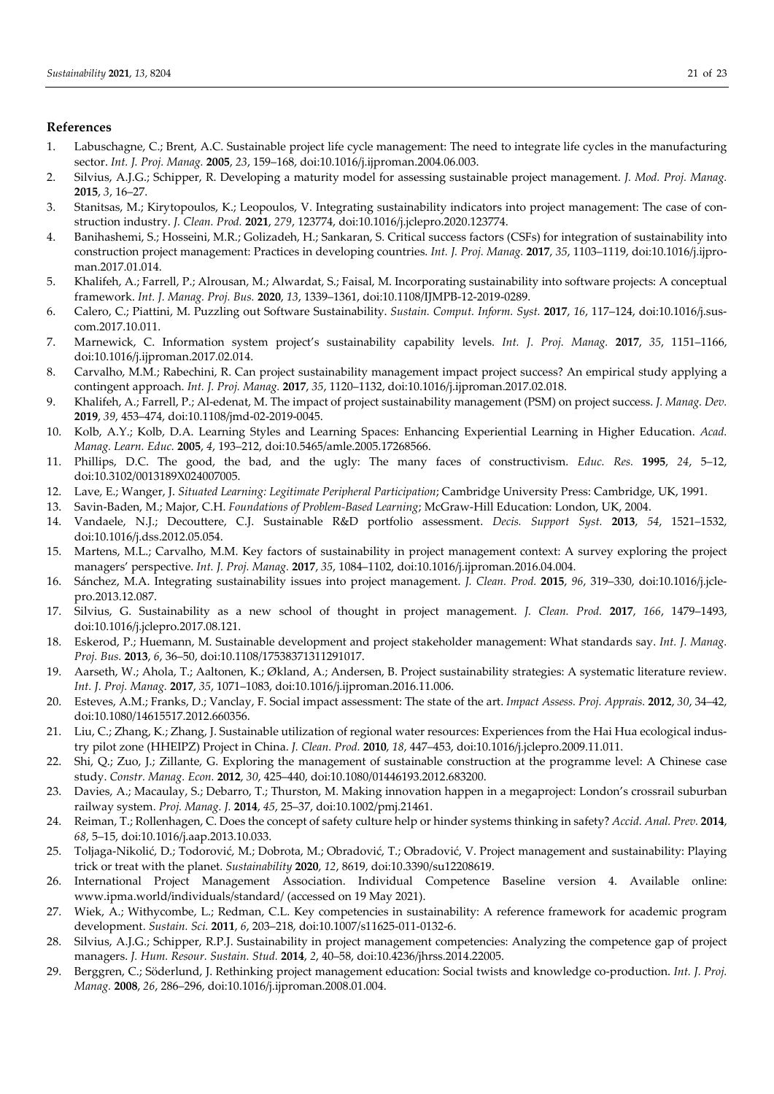# **References**

- 1. Labuschagne, C.; Brent, A.C. Sustainable project life cycle management: The need to integrate life cycles in the manufacturing sector. *Int. J. Proj. Manag.* **2005**, *23*, 159–168, doi:10.1016/j.ijproman.2004.06.003.
- 2. Silvius, A.J.G.; Schipper, R. Developing a maturity model for assessing sustainable project management. *J. Mod. Proj. Manag.* **2015**, *3*, 16–27.
- 3. Stanitsas, M.; Kirytopoulos, K.; Leopoulos, V. Integrating sustainability indicators into project management: The case of construction industry. *J. Clean. Prod.* **2021**, *279*, 123774, doi:10.1016/j.jclepro.2020.123774.
- 4. Banihashemi, S.; Hosseini, M.R.; Golizadeh, H.; Sankaran, S. Critical success factors (CSFs) for integration of sustainability into construction project management: Practices in developing countries. *Int. J. Proj. Manag.* **2017**, *35*, 1103–1119, doi:10.1016/j.ijproman.2017.01.014.
- 5. Khalifeh, A.; Farrell, P.; Alrousan, M.; Alwardat, S.; Faisal, M. Incorporating sustainability into software projects: A conceptual framework. *Int. J. Manag. Proj. Bus.* **2020**, *13*, 1339–1361, doi:10.1108/IJMPB-12-2019-0289.
- 6. Calero, C.; Piattini, M. Puzzling out Software Sustainability. *Sustain. Comput. Inform. Syst.* **2017**, *16*, 117–124, doi:10.1016/j.suscom.2017.10.011.
- 7. Marnewick, C. Information system project's sustainability capability levels. *Int. J. Proj. Manag.* **2017**, *35*, 1151–1166, doi:10.1016/j.ijproman.2017.02.014.
- 8. Carvalho, M.M.; Rabechini, R. Can project sustainability management impact project success? An empirical study applying a contingent approach. *Int. J. Proj. Manag.* **2017**, *35*, 1120–1132, doi:10.1016/j.ijproman.2017.02.018.
- 9. Khalifeh, A.; Farrell, P.; Al-edenat, M. The impact of project sustainability management (PSM) on project success. *J. Manag. Dev.* **2019**, *39*, 453–474, doi:10.1108/jmd-02-2019-0045.
- 10. Kolb, A.Y.; Kolb, D.A. Learning Styles and Learning Spaces: Enhancing Experiential Learning in Higher Education. *Acad. Manag. Learn. Educ.* **2005**, *4*, 193–212, doi:10.5465/amle.2005.17268566.
- 11. Phillips, D.C. The good, the bad, and the ugly: The many faces of constructivism. *Educ. Res.* **1995**, *24*, 5–12, doi:10.3102/0013189X024007005.
- 12. Lave, E.; Wanger, J. *Situated Learning: Legitimate Peripheral Participation*; Cambridge University Press: Cambridge, UK, 1991.
- 13. Savin-Baden, M.; Major, C.H. *Foundations of Problem-Based Learning*; McGraw-Hill Education: London, UK, 2004.
- 14. Vandaele, N.J.; Decouttere, C.J. Sustainable R&D portfolio assessment. *Decis. Support Syst.* **2013**, *54*, 1521–1532, doi:10.1016/j.dss.2012.05.054.
- 15. Martens, M.L.; Carvalho, M.M. Key factors of sustainability in project management context: A survey exploring the project managers' perspective. *Int. J. Proj. Manag.* **2017**, *35*, 1084–1102, doi:10.1016/j.ijproman.2016.04.004.
- 16. Sánchez, M.A. Integrating sustainability issues into project management. *J. Clean. Prod.* **2015**, *96*, 319–330, doi:10.1016/j.jclepro.2013.12.087.
- 17. Silvius, G. Sustainability as a new school of thought in project management. *J. Clean. Prod.* **2017**, *166*, 1479–1493, doi:10.1016/j.jclepro.2017.08.121.
- 18. Eskerod, P.; Huemann, M. Sustainable development and project stakeholder management: What standards say. *Int. J. Manag. Proj. Bus.* **2013**, *6*, 36–50, doi:10.1108/17538371311291017.
- 19. Aarseth, W.; Ahola, T.; Aaltonen, K.; Økland, A.; Andersen, B. Project sustainability strategies: A systematic literature review. *Int. J. Proj. Manag.* **2017**, *35*, 1071–1083, doi:10.1016/j.ijproman.2016.11.006.
- 20. Esteves, A.M.; Franks, D.; Vanclay, F. Social impact assessment: The state of the art. *Impact Assess. Proj. Apprais.* **2012**, *30*, 34–42, doi:10.1080/14615517.2012.660356.
- 21. Liu, C.; Zhang, K.; Zhang, J. Sustainable utilization of regional water resources: Experiences from the Hai Hua ecological industry pilot zone (HHEIPZ) Project in China. *J. Clean. Prod.* **2010**, *18*, 447–453, doi:10.1016/j.jclepro.2009.11.011.
- 22. Shi, Q.; Zuo, J.; Zillante, G. Exploring the management of sustainable construction at the programme level: A Chinese case study. *Constr. Manag. Econ.* **2012**, *30*, 425–440, doi:10.1080/01446193.2012.683200.
- 23. Davies, A.; Macaulay, S.; Debarro, T.; Thurston, M. Making innovation happen in a megaproject: London's crossrail suburban railway system. *Proj. Manag. J.* **2014**, *45*, 25–37, doi:10.1002/pmj.21461.
- 24. Reiman, T.; Rollenhagen, C. Does the concept of safety culture help or hinder systems thinking in safety? *Accid. Anal. Prev.* **2014**, *68*, 5–15, doi:10.1016/j.aap.2013.10.033.
- 25. Toljaga-Nikolić, D.; Todorović, M.; Dobrota, M.; Obradović, T.; Obradović, V. Project management and sustainability: Playing trick or treat with the planet. *Sustainability* **2020**, *12*, 8619, doi:10.3390/su12208619.
- 26. International Project Management Association. Individual Competence Baseline version 4. Available online: www.ipma.world/individuals/standard/ (accessed on 19 May 2021).
- 27. Wiek, A.; Withycombe, L.; Redman, C.L. Key competencies in sustainability: A reference framework for academic program development. *Sustain. Sci.* **2011**, *6*, 203–218, doi:10.1007/s11625-011-0132-6.
- 28. Silvius, A.J.G.; Schipper, R.P.J. Sustainability in project management competencies: Analyzing the competence gap of project managers. *J. Hum. Resour. Sustain. Stud.* **2014**, *2*, 40–58, doi:10.4236/jhrss.2014.22005.
- 29. Berggren, C.; Söderlund, J. Rethinking project management education: Social twists and knowledge co-production. *Int. J. Proj. Manag.* **2008**, *26*, 286–296, doi:10.1016/j.ijproman.2008.01.004.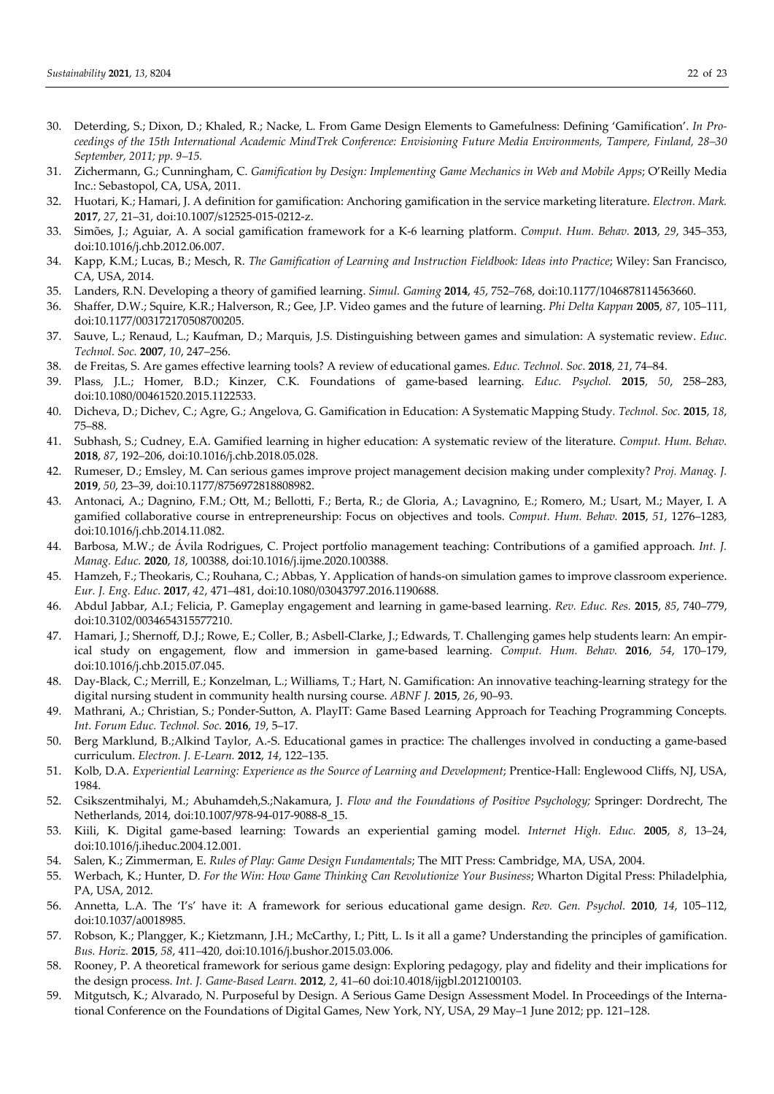- 30. Deterding, S.; Dixon, D.; Khaled, R.; Nacke, L. From Game Design Elements to Gamefulness: Defining 'Gamification'. *In Proceedings of the 15th International Academic MindTrek Conference: Envisioning Future Media Environments, Tampere, Finland, 28–30 September, 2011; pp. 9–15.*
- 31. Zichermann, G.; Cunningham, C. *Gamification by Design: Implementing Game Mechanics in Web and Mobile Apps*; O'Reilly Media Inc.: Sebastopol, CA, USA, 2011.
- 32. Huotari, K.; Hamari, J. A definition for gamification: Anchoring gamification in the service marketing literature. *Electron. Mark.*  **2017**, *27*, 21–31, doi:10.1007/s12525-015-0212-z.
- 33. Simões, J.; Aguiar, A. A social gamification framework for a K-6 learning platform. *Comput. Hum. Behav.* **2013**, *29*, 345–353, doi:10.1016/j.chb.2012.06.007.
- 34. Kapp, K.M.; Lucas, B.; Mesch, R. *The Gamification of Learning and Instruction Fieldbook: Ideas into Practice*; Wiley: San Francisco, CA, USA, 2014.
- 35. Landers, R.N. Developing a theory of gamified learning. *Simul. Gaming* **2014**, *45*, 752–768, doi:10.1177/1046878114563660.
- 36. Shaffer, D.W.; Squire, K.R.; Halverson, R.; Gee, J.P. Video games and the future of learning. *Phi Delta Kappan* **2005**, *87*, 105–111, doi:10.1177/003172170508700205.
- 37. Sauve, L.; Renaud, L.; Kaufman, D.; Marquis, J.S. Distinguishing between games and simulation: A systematic review. *Educ. Technol. Soc.* **2007**, *10*, 247–256.
- 38. de Freitas, S. Are games effective learning tools? A review of educational games. *Educ. Technol. Soc.* **2018**, *21*, 74–84.
- 39. Plass, J.L.; Homer, B.D.; Kinzer, C.K. Foundations of game-based learning. *Educ. Psychol.* **2015**, *50*, 258–283, doi:10.1080/00461520.2015.1122533.
- 40. Dicheva, D.; Dichev, C.; Agre, G.; Angelova, G. Gamification in Education: A Systematic Mapping Study*. Technol. Soc.* **2015**, *18*, 75–88.
- 41. Subhash, S.; Cudney, E.A. Gamified learning in higher education: A systematic review of the literature. *Comput. Hum. Behav.*  **2018**, *87*, 192–206, doi:10.1016/j.chb.2018.05.028.
- 42. Rumeser, D.; Emsley, M. Can serious games improve project management decision making under complexity? *Proj. Manag. J.*  **2019**, *50*, 23–39, doi:10.1177/8756972818808982.
- 43. Antonaci, A.; Dagnino, F.M.; Ott, M.; Bellotti, F.; Berta, R.; de Gloria, A.; Lavagnino, E.; Romero, M.; Usart, M.; Mayer, I. A gamified collaborative course in entrepreneurship: Focus on objectives and tools. *Comput. Hum. Behav.* **2015**, *51*, 1276–1283, doi:10.1016/j.chb.2014.11.082.
- 44. Barbosa, M.W.; de Ávila Rodrigues, C. Project portfolio management teaching: Contributions of a gamified approach. *Int. J. Manag. Educ.* **2020**, *18*, 100388, doi:10.1016/j.ijme.2020.100388.
- 45. Hamzeh, F.; Theokaris, C.; Rouhana, C.; Abbas, Y. Application of hands-on simulation games to improve classroom experience. *Eur. J. Eng. Educ.* **2017**, *42*, 471–481, doi:10.1080/03043797.2016.1190688.
- 46. Abdul Jabbar, A.I.; Felicia, P. Gameplay engagement and learning in game-based learning. *Rev. Educ. Res.* **2015**, *85*, 740–779, doi:10.3102/0034654315577210.
- 47. Hamari, J.; Shernoff, D.J.; Rowe, E.; Coller, B.; Asbell-Clarke, J.; Edwards, T. Challenging games help students learn: An empirical study on engagement, flow and immersion in game-based learning. *Comput. Hum. Behav.* **2016**, *54*, 170–179, doi:10.1016/j.chb.2015.07.045.
- 48. Day-Black, C.; Merrill, E.; Konzelman, L.; Williams, T.; Hart, N. Gamification: An innovative teaching-learning strategy for the digital nursing student in community health nursing course. *ABNF J.* **2015**, *26*, 90–93.
- 49. Mathrani, A.; Christian, S.; Ponder-Sutton, A. PlayIT: Game Based Learning Approach for Teaching Programming Concepts*. Int. Forum Educ. Technol. Soc.* **2016**, *19*, 5–17.
- 50. Berg Marklund, B.;Alkind Taylor, A.-S. Educational games in practice: The challenges involved in conducting a game-based curriculum. *Electron. J. E-Learn.* **2012**, *14*, 122–135.
- 51. Kolb, D.A. *Experiential Learning: Experience as the Source of Learning and Development*; Prentice-Hall: Englewood Cliffs, NJ, USA, 1984.
- 52. Csikszentmihalyi, M.; Abuhamdeh,S.;Nakamura, J. *Flow and the Foundations of Positive Psychology;* Springer: Dordrecht, The Netherlands, 2014, doi:10.1007/978-94-017-9088-8\_15.
- 53. Kiili, K. Digital game-based learning: Towards an experiential gaming model. *Internet High. Educ.* **2005**, *8*, 13–24, doi:10.1016/j.iheduc.2004.12.001.
- 54. Salen, K.; Zimmerman, E. *Rules of Play: Game Design Fundamentals*; The MIT Press: Cambridge, MA, USA, 2004.
- 55. Werbach, K.; Hunter, D. *For the Win: How Game Thinking Can Revolutionize Your Business*; Wharton Digital Press: Philadelphia, PA, USA, 2012.
- 56. Annetta, L.A. The 'I's' have it: A framework for serious educational game design. *Rev. Gen. Psychol.* **2010**, *14*, 105–112, doi:10.1037/a0018985.
- 57. Robson, K.; Plangger, K.; Kietzmann, J.H.; McCarthy, I.; Pitt, L. Is it all a game? Understanding the principles of gamification. *Bus. Horiz.* **2015**, *58*, 411–420, doi:10.1016/j.bushor.2015.03.006.
- 58. Rooney, P. A theoretical framework for serious game design: Exploring pedagogy, play and fidelity and their implications for the design process. *Int. J. Game-Based Learn.* **2012**, *2*, 41–60 doi:10.4018/ijgbl.2012100103.
- 59. Mitgutsch, K.; Alvarado, N. Purposeful by Design. A Serious Game Design Assessment Model. In Proceedings of the International Conference on the Foundations of Digital Games, New York, NY, USA, 29 May–1 June 2012; pp. 121–128.